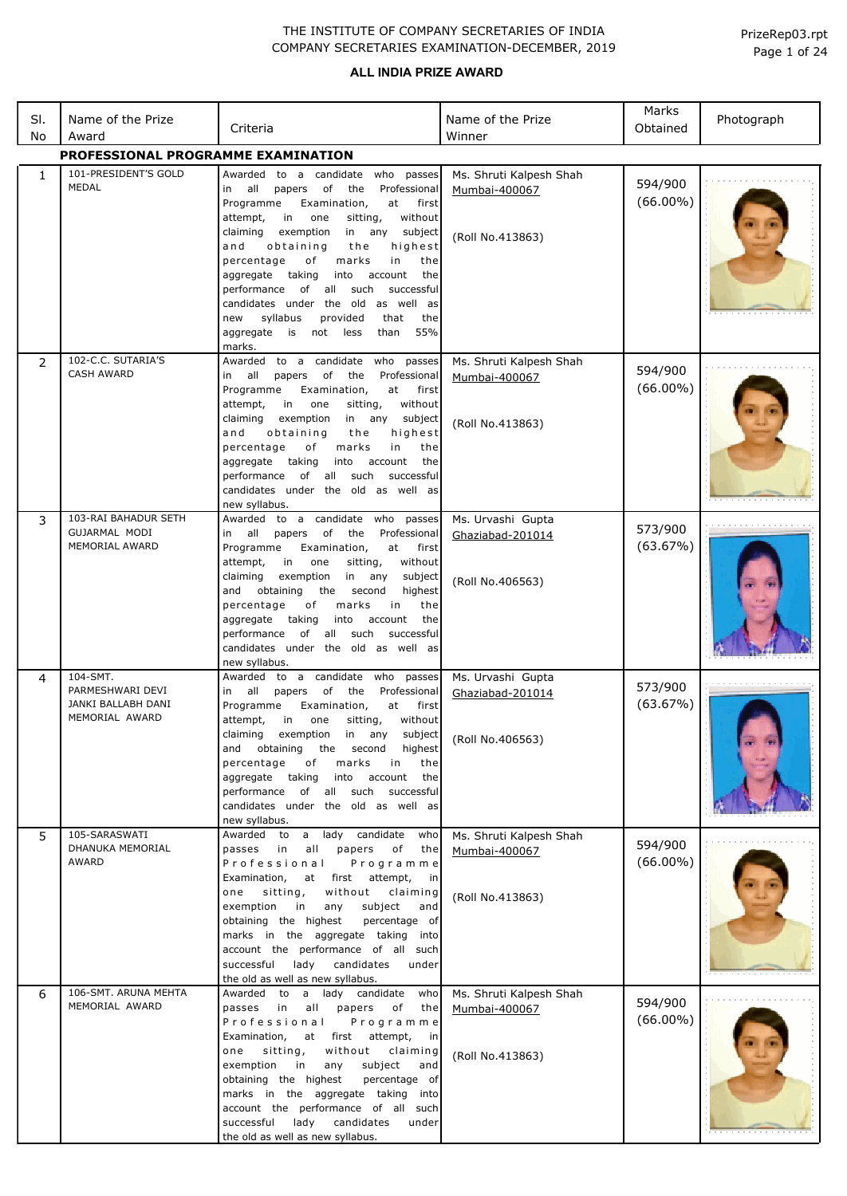| SI.<br>No    | Name of the Prize<br>Award                                           | Criteria                                                                                                                                                                                                                                                                                                                                                                                                                                                                                                                                              | Name of the Prize<br>Winner                                  | Marks<br>Obtained      | Photograph |
|--------------|----------------------------------------------------------------------|-------------------------------------------------------------------------------------------------------------------------------------------------------------------------------------------------------------------------------------------------------------------------------------------------------------------------------------------------------------------------------------------------------------------------------------------------------------------------------------------------------------------------------------------------------|--------------------------------------------------------------|------------------------|------------|
|              | <b>PROFESSIONAL PROGRAMME EXAMINATION</b>                            |                                                                                                                                                                                                                                                                                                                                                                                                                                                                                                                                                       |                                                              |                        |            |
| $\mathbf{1}$ | 101-PRESIDENT'S GOLD<br><b>MEDAL</b>                                 | Awarded to a candidate who<br>passes<br>all<br>of<br>the<br>Professional<br>papers<br>in<br>at<br>Programme<br>Examination,<br>first<br>in<br>without<br>attempt,<br>one<br>sitting,<br>claiming<br>exemption<br>in any<br>subject<br>obtaining<br>highest<br>and<br>the<br>percentage<br>marks<br>оf<br>in<br>the<br>aggregate<br>taking<br>into<br>account<br>the<br>performance of all such<br>successful<br>candidates under the old as well<br>as<br>syllabus<br>the<br>provided<br>that<br>new<br>55%<br>aggregate<br>is<br>not<br>less<br>than | Ms. Shruti Kalpesh Shah<br>Mumbai-400067<br>(Roll No.413863) | 594/900<br>$(66.00\%)$ |            |
| 2            | 102-C.C. SUTARIA'S<br><b>CASH AWARD</b>                              | marks.<br>Awarded to a candidate<br>who<br>passes<br>all<br>of<br>the<br>Professional<br>papers<br>in<br>Programme<br>Examination,<br>at<br>first<br>without<br>attempt,<br>in in<br>one<br>sitting,<br>claiming<br>exemption<br>in any<br>subject<br>obtaining<br>and<br>the<br>highest<br>percentage<br>оf<br>marks<br>in<br>the<br>aggregate<br>taking<br>into<br>account<br>the<br>of all such<br>successful<br>performance<br>candidates under the old as well as<br>new syllabus.                                                               | Ms. Shruti Kalpesh Shah<br>Mumbai-400067<br>(Roll No.413863) | 594/900<br>$(66.00\%)$ |            |
| 3            | 103-RAI BAHADUR SETH<br>GUJARMAL MODI<br>MEMORIAL AWARD              | Awarded to a candidate who passes<br>all<br>papers<br>of<br>the<br>Professional<br>in<br>Programme<br>Examination,<br>at<br>first<br>attempt,<br>in<br>one<br>sitting,<br>without<br>claiming<br>exemption<br>in<br>any<br>subject<br>and<br>obtaining<br>the<br>second<br>highest<br>percentage<br>marks<br>оf<br>in<br>the<br>taking<br>aggregate<br>into<br>account<br>the<br>of all such<br>performance<br>successful<br>candidates under the old as well as<br>new syllabus.                                                                     | Ms. Urvashi Gupta<br>Ghaziabad-201014<br>(Roll No.406563)    | 573/900<br>(63.67%)    |            |
| 4            | 104-SMT.<br>PARMESHWARI DEVI<br>JANKI BALLABH DANI<br>MEMORIAL AWARD | Awarded to a candidate who passes<br>all<br>of<br>Professional<br>papers<br>the<br>in<br>Examination,<br>Programme<br>at<br>first<br>attempt,<br>sitting,<br>without<br>in<br>one<br>claiming<br>exemption<br>in<br>any<br>subject<br>obtaining<br>and<br>the second<br>highest<br>percentage<br>оf<br>marks<br>in<br>the<br>aggregate taking<br>into<br>account<br>the<br>performance of all such successful<br>candidates under the old as well as<br>new syllabus.                                                                                 | Ms. Urvashi Gupta<br>Ghaziabad-201014<br>(Roll No.406563)    | 573/900<br>(63.67%)    |            |
| 5            | 105-SARASWATI<br>DHANUKA MEMORIAL<br>AWARD                           | Awarded to a lady candidate<br>who<br>passes in<br>all<br>papers<br>of<br>the<br>Professional<br>Programme<br>Examination,<br>at first attempt,<br>in<br>sitting,<br>without<br>claiming<br>one<br>subject<br>exemption<br>in<br>any<br>and<br>obtaining the highest<br>percentage of<br>marks in the aggregate taking into<br>account the performance of all such<br>successful<br>lady<br>candidates<br>under<br>the old as well as new syllabus.                                                                                                   | Ms. Shruti Kalpesh Shah<br>Mumbai-400067<br>(Roll No.413863) | 594/900<br>$(66.00\%)$ |            |
| 6            | 106-SMT. ARUNA MEHTA<br>MEMORIAL AWARD                               | Awarded to a lady candidate<br>who<br>passes<br>in<br>papers<br>all<br>of<br>the<br>Professional<br>Programme<br>Examination,<br>at first attempt,<br>in<br>sitting,<br>without<br>claiming<br>one<br>exemption<br>in<br>subject<br>any<br>and<br>obtaining the highest<br>percentage of<br>marks in the aggregate taking<br>into<br>account the performance of all such<br>lady candidates<br>successful<br>under<br>the old as well as new syllabus.                                                                                                | Ms. Shruti Kalpesh Shah<br>Mumbai-400067<br>(Roll No.413863) | 594/900<br>$(66.00\%)$ |            |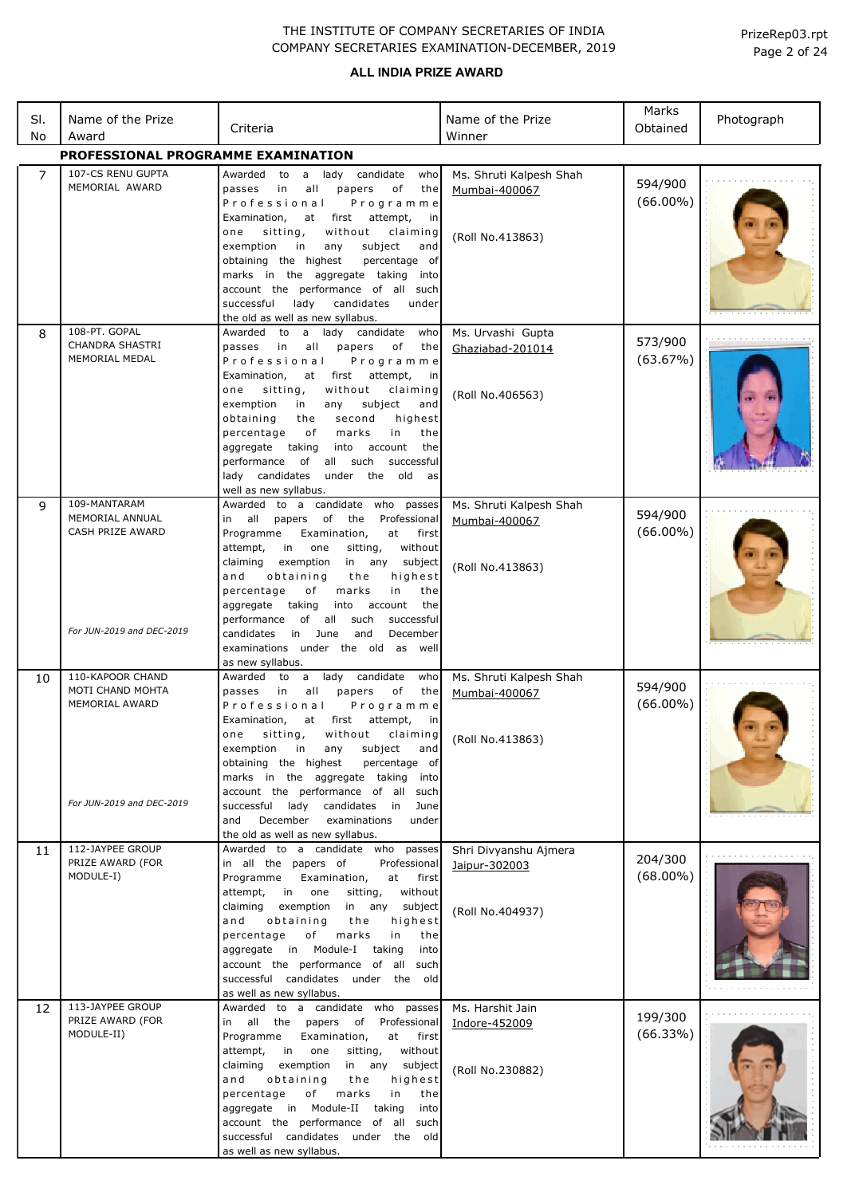| SI.<br>No           | Name of the Prize<br>Award                                                          | Criteria                                                                                                                                                                                                                                                                                                                                                                                                                                                                                                                                            | Name of the Prize<br>Winner                                                                           | Marks<br>Obtained                 | Photograph |
|---------------------|-------------------------------------------------------------------------------------|-----------------------------------------------------------------------------------------------------------------------------------------------------------------------------------------------------------------------------------------------------------------------------------------------------------------------------------------------------------------------------------------------------------------------------------------------------------------------------------------------------------------------------------------------------|-------------------------------------------------------------------------------------------------------|-----------------------------------|------------|
|                     | PROFESSIONAL PROGRAMME EXAMINATION                                                  |                                                                                                                                                                                                                                                                                                                                                                                                                                                                                                                                                     |                                                                                                       |                                   |            |
| $\overline{7}$<br>8 | 107-CS RENU GUPTA<br>MEMORIAL AWARD<br>108-PT. GOPAL<br><b>CHANDRA SHASTRI</b>      | Awarded to a lady candidate<br>who<br>in<br>all<br>papers<br>оf<br>the<br>passes<br>Professional<br>Programme<br>Examination,<br>at<br>first<br>attempt,<br>in<br>one<br>sitting,<br>without<br>claiming<br>exemption<br>subject<br>in<br>any<br>and<br>obtaining the highest<br>percentage of<br>marks in the aggregate taking<br>into<br>account the performance of all such<br>successful<br>lady<br>candidates<br>under<br>the old as well as new syllabus.<br>Awarded to a lady candidate<br>who<br>all<br>passes<br>in<br>papers<br>of<br>the | Ms. Shruti Kalpesh Shah<br>Mumbai-400067<br>(Roll No.413863)<br>Ms. Urvashi Gupta<br>Ghaziabad-201014 | 594/900<br>$(66.00\%)$<br>573/900 |            |
|                     | MEMORIAL MEDAL                                                                      | Professional<br>Programme<br>Examination,<br>at first attempt,<br>in<br>sitting,<br>without<br>one<br>claiming<br>exemption<br>subject<br>in<br>any<br>and<br>obtaining<br>the<br>second<br>highest<br>in<br>percentage<br>of<br>marks<br>the<br>aggregate taking<br>into<br>account<br>the<br>performance<br>of<br>all such<br>successful<br>lady candidates<br>under the old<br>as<br>well as new syllabus.                                                                                                                                       | (Roll No.406563)                                                                                      | (63.67%)                          |            |
| 9                   | 109-MANTARAM<br>MEMORIAL ANNUAL<br>CASH PRIZE AWARD<br>For JUN-2019 and DEC-2019    | Awarded to a candidate who passes<br>in all<br>papers of<br>the<br>Professional<br>Programme<br>Examination,<br>at first<br>attempt,<br>in<br>one<br>sitting,<br>without<br>claiming<br>exemption<br>in any<br>subject<br>and<br>obtaining<br>highest<br>the<br>marks<br>percentage<br>оf<br>in<br>the<br>aggregate taking<br>into<br>account<br>the<br>of all<br>such<br>successful<br>performance<br>in June<br>December<br>candidates<br>and                                                                                                     | Ms. Shruti Kalpesh Shah<br>Mumbai-400067<br>(Roll No.413863)                                          | 594/900<br>$(66.00\%)$            |            |
|                     |                                                                                     | examinations under the old as well                                                                                                                                                                                                                                                                                                                                                                                                                                                                                                                  |                                                                                                       |                                   |            |
| 10                  | 110-KAPOOR CHAND<br>MOTI CHAND MOHTA<br>MEMORIAL AWARD<br>For JUN-2019 and DEC-2019 | as new syllabus.<br>Awarded to a lady candidate<br>who<br>passes<br>in<br>all<br>papers<br>of<br>the<br>Programme<br>Professional<br>Examination,<br>first<br>attempt,<br>at<br>in<br>one<br>sitting,<br>without<br>exemption<br>in<br>subject<br>any<br>and<br>obtaining the highest<br>percentage of<br>marks in the aggregate taking<br>into<br>account the performance of all such<br>successful lady candidates in<br>June                                                                                                                     | Ms. Shruti Kalpesh Shah<br>Mumbai-400067<br>claiming (Roll No.413863)                                 | 594/900<br>$(66.00\%)$            |            |
|                     |                                                                                     | and<br>December<br>examinations<br>under<br>the old as well as new syllabus.                                                                                                                                                                                                                                                                                                                                                                                                                                                                        |                                                                                                       |                                   |            |
| 11                  | 112-JAYPEE GROUP<br>PRIZE AWARD (FOR<br>MODULE-I)                                   | Awarded to a candidate who passes<br>in all the papers of<br>Professional<br>Programme<br>Examination,<br>at<br>first<br>without<br>attempt,<br>in<br>one<br>sitting,<br>claiming<br>exemption<br>in any<br>subject<br>obtaining<br>highest<br>and<br>the<br>percentage<br>marks<br>of<br>the<br>in<br>aggregate in Module-I<br>taking<br>into<br>account the performance of all such<br>successful candidates under the old<br>as well as new syllabus.                                                                                            | Shri Divyanshu Ajmera<br>Jaipur-302003<br>(Roll No.404937)                                            | 204/300<br>$(68.00\%)$            |            |
| 12                  | 113-JAYPEE GROUP<br>PRIZE AWARD (FOR<br>MODULE-II)                                  | Awarded to a candidate who passes<br>in all the papers<br>of<br>Professional<br>Programme<br>Examination,<br>at<br>first<br>attempt,<br>in<br>one<br>sitting,<br>without<br>claiming<br>exemption<br>in any<br>subject<br>and<br>obtaining<br>the<br>highest<br>percentage<br>of<br>marks<br>in<br>the<br>aggregate in Module-II taking<br>into<br>account the performance of all such<br>successful candidates under the old<br>as well as new syllabus.                                                                                           | Ms. Harshit Jain<br>Indore-452009<br>(Roll No.230882)                                                 | 199/300<br>(66.33%)               |            |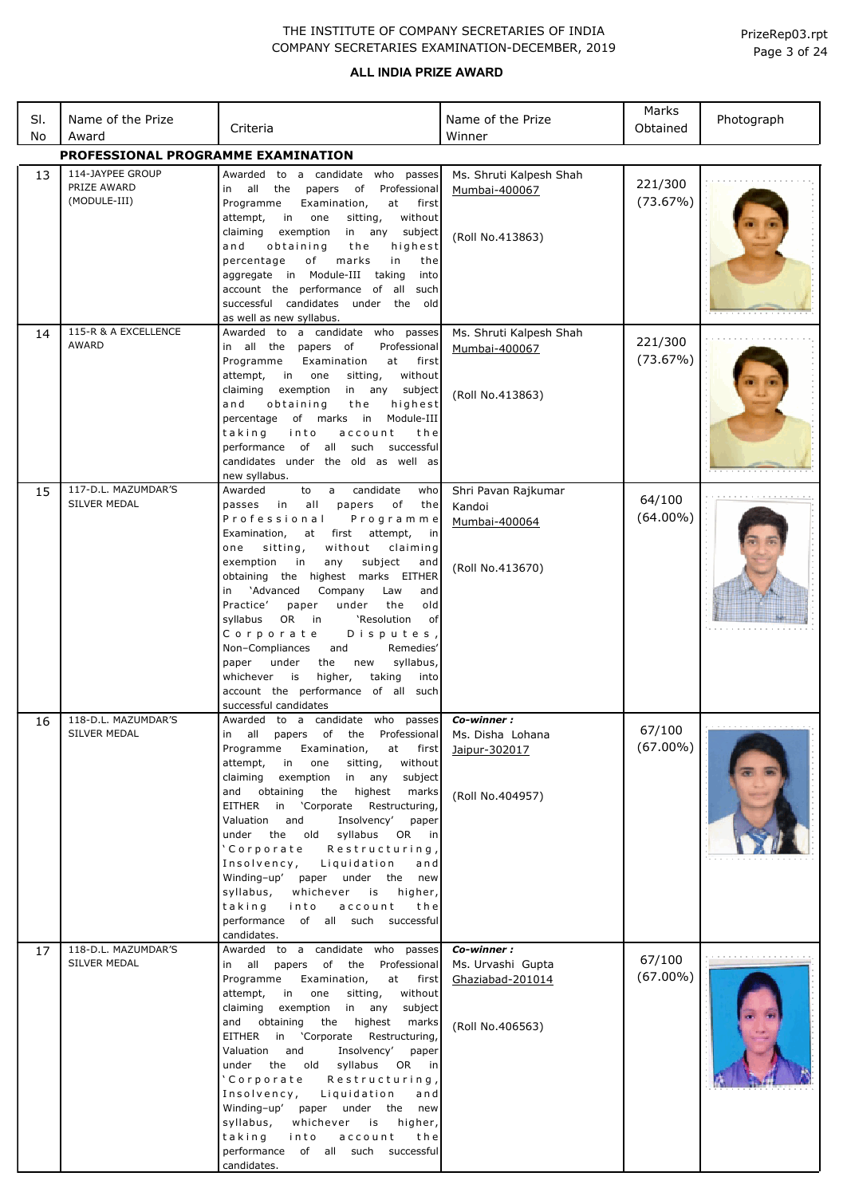### **ALL INDIA PRIZE AWARD**

| SI. | Name of the Prize                               | Criteria                                                                                                                                                                                                                                                                                                                                                                                                                                                                                                                                                                                                                                          | Name of the Prize                                                       | Marks<br>Obtained     | Photograph |
|-----|-------------------------------------------------|---------------------------------------------------------------------------------------------------------------------------------------------------------------------------------------------------------------------------------------------------------------------------------------------------------------------------------------------------------------------------------------------------------------------------------------------------------------------------------------------------------------------------------------------------------------------------------------------------------------------------------------------------|-------------------------------------------------------------------------|-----------------------|------------|
| No  | Award                                           |                                                                                                                                                                                                                                                                                                                                                                                                                                                                                                                                                                                                                                                   | Winner                                                                  |                       |            |
|     | PROFESSIONAL PROGRAMME EXAMINATION              |                                                                                                                                                                                                                                                                                                                                                                                                                                                                                                                                                                                                                                                   |                                                                         |                       |            |
| 13  | 114-JAYPEE GROUP<br>PRIZE AWARD<br>(MODULE-III) | Awarded to a candidate who passes<br>in all the papers<br>of Professional<br>Programme<br>Examination,<br>at<br>first<br>sitting,<br>attempt,<br>in in<br>one<br>without<br>claiming<br>exemption<br>in any<br>subject<br>highest<br>and<br>obtaining<br>the<br>of<br>marks<br>percentage<br>in<br>the<br>aggregate in Module-III taking<br>into<br>account the performance of all such<br>successful candidates under the old                                                                                                                                                                                                                    | Ms. Shruti Kalpesh Shah<br>Mumbai-400067<br>(Roll No.413863)            | 221/300<br>(73.67%)   |            |
| 14  | 115-R & A EXCELLENCE                            | as well as new syllabus.<br>Awarded to a candidate who passes                                                                                                                                                                                                                                                                                                                                                                                                                                                                                                                                                                                     | Ms. Shruti Kalpesh Shah                                                 |                       |            |
|     | <b>AWARD</b>                                    | in all the papers of<br>Professional<br>Programme<br>Examination<br>at<br>first<br>without<br>attempt,<br>in one<br>sitting,<br>exemption<br>claiming<br>in any<br>subject<br>obtaining<br>highest<br>and<br>the<br>percentage of marks in<br>Module-III<br>into<br>taking<br>account<br>the<br>performance of all such<br>successful<br>candidates under the old as well as<br>new syllabus.                                                                                                                                                                                                                                                     | Mumbai-400067<br>(Roll No.413863)                                       | 221/300<br>(73.67%)   |            |
| 15  | 117-D.L. MAZUMDAR'S                             | Awarded<br>to<br>candidate<br>$\overline{a}$<br>who                                                                                                                                                                                                                                                                                                                                                                                                                                                                                                                                                                                               | Shri Pavan Rajkumar                                                     | 64/100                |            |
| 16  | <b>SILVER MEDAL</b><br>118-D.L. MAZUMDAR'S      | passes in<br>all<br>papers<br>of<br>the<br>Professional<br>Programme<br>Examination,<br>at first attempt,<br>in<br>sitting,<br>without<br>claiming<br>one<br>exemption<br>subject<br>in<br>any<br>and<br>obtaining the highest marks EITHER<br>in 'Advanced<br>Company<br>Law<br>and<br>Practice'<br>under<br>the<br>old<br>paper<br>OR<br>'Resolution<br>syllabus<br>in<br>0f<br>Corporate<br>Disputes,<br>Remedies'<br>Non-Compliances<br>and<br>syllabus,<br>under<br>paper<br>the<br>new<br>higher,<br>whichever<br>is<br>taking<br>into<br>account the performance of all such<br>successful candidates<br>Awarded to a candidate who passes | Kandoi<br>Mumbai-400064<br>(Roll No.413670)<br>Co-winner :              | $(64.00\%)$           |            |
|     | SILVER MEDAL                                    | in all papers of the Professional Ms. Disha Lohana<br>Examination,<br>Programme<br>at first<br>in one<br>attempt,<br>sitting,<br>without<br>exemption in any<br>claiming<br>subject<br>and obtaining the highest<br>marks<br>EITHER in 'Corporate Restructuring,<br>Insolvency'<br>Valuation<br>and<br>paper<br>under the old syllabus OR in<br>'Corporate<br>, Restructuring<br>Insolvency, Liquidation<br>and<br>Winding-up' paper under the new<br>syllabus, whichever is<br>higher,<br>taking into<br>account<br>the<br>performance of all such successful<br>candidates.                                                                     | Jaipur-302017<br>(Roll No.404957)                                       | 67/100<br>$(67.00\%)$ |            |
| 17  | 118-D.L. MAZUMDAR'S<br>SILVER MEDAL             | Awarded to a candidate who passes<br>in all papers of the Professional<br>Examination,<br>Programme<br>at first<br>attempt,<br>in one<br>sitting,<br>without<br>claiming<br>exemption in any<br>subject<br>and obtaining the highest<br>marks<br>EITHER in 'Corporate<br>Restructuring,<br>Valuation and<br>Insolvency'<br>paper<br>under the old syllabus OR in<br>'Corporate Restructuring,<br>Insolvency, Liquidation<br>and<br>Winding-up' paper under the new<br>syllabus,<br>whichever is<br>higher,<br>taking into<br>account<br>the<br>performance of all such successful<br>candidates.                                                  | Co-winner:<br>Ms. Urvashi Gupta<br>Ghaziabad-201014<br>(Roll No.406563) | 67/100<br>$(67.00\%)$ |            |

Page 3 of 24 PrizeRep03.rpt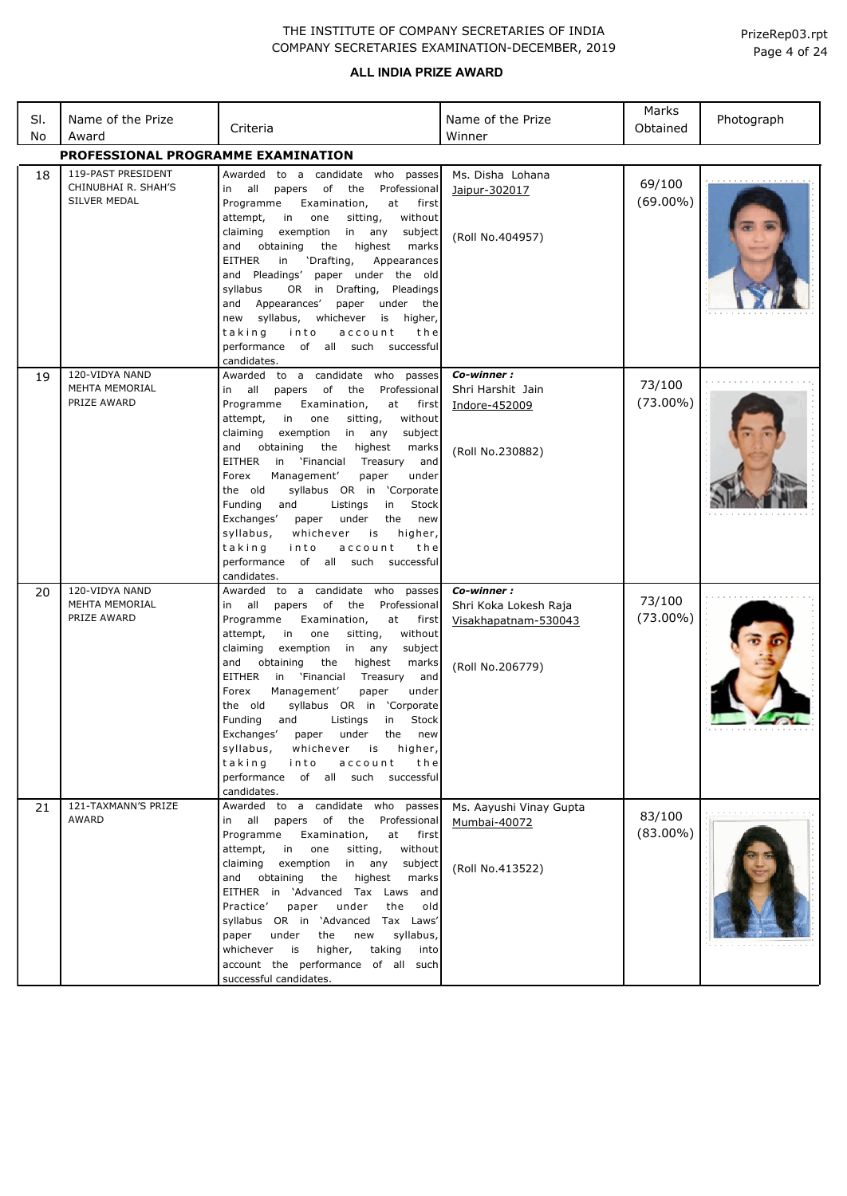### **ALL INDIA PRIZE AWARD**

| SI.<br>No | Name of the Prize<br>Award                                | Criteria                                                                                                                                                                                                                                                                                                                                                                                                                                                                                                                                                                                                                       | Name of the Prize<br>Winner                                                     | Marks<br>Obtained     | Photograph |
|-----------|-----------------------------------------------------------|--------------------------------------------------------------------------------------------------------------------------------------------------------------------------------------------------------------------------------------------------------------------------------------------------------------------------------------------------------------------------------------------------------------------------------------------------------------------------------------------------------------------------------------------------------------------------------------------------------------------------------|---------------------------------------------------------------------------------|-----------------------|------------|
|           | PROFESSIONAL PROGRAMME EXAMINATION                        |                                                                                                                                                                                                                                                                                                                                                                                                                                                                                                                                                                                                                                |                                                                                 |                       |            |
| 18        | 119-PAST PRESIDENT<br>CHINUBHAI R. SHAH'S<br>SILVER MEDAL | Awarded to a candidate who passes<br>in all<br>papers of<br>the Professional<br>Examination,<br>Programme<br>at first<br>attempt,<br>in<br>one<br>sitting,<br>without<br>claiming<br>exemption<br>in<br>any<br>subject<br>and obtaining<br>the<br>highest<br>marks<br><b>EITHER</b><br>in<br>'Drafting,<br>Appearances<br>and Pleadings'<br>paper under the old<br>OR in Drafting,<br>Pleadings<br>syllabus<br>and Appearances'<br>paper<br>under the<br>new syllabus,<br>whichever<br>is higher,<br>taking<br>into<br>account<br>the<br>performance of all such successful<br>candidates.                                     | Ms. Disha Lohana<br>Jaipur-302017<br>(Roll No.404957)                           | 69/100<br>$(69.00\%)$ |            |
| 19        | 120-VIDYA NAND<br>MEHTA MEMORIAL<br>PRIZE AWARD           | Awarded to a candidate who passes<br>of the Professional<br>in all<br>papers<br>Examination,<br>Programme<br>at<br>first<br>attempt,<br>in one<br>sitting,<br>without<br>claiming<br>exemption in any<br>subject<br>obtaining<br>and<br>the<br>highest<br>marks<br>EITHER<br>in 'Financial<br>Treasury<br>and<br>Forex<br>Management'<br>under<br>paper<br>syllabus OR in 'Corporate<br>the old<br>Stock<br>Funding<br>and<br>Listings<br>in<br>Exchanges'<br>under<br>the<br>new<br>paper<br>syllabus,<br>whichever<br>is<br>higher,<br>taking<br>into<br>account<br>the<br>performance of all such successful<br>candidates. | Co-winner:<br>Shri Harshit Jain<br>Indore-452009<br>(Roll No.230882)            | 73/100<br>$(73.00\%)$ |            |
| 20        | 120-VIDYA NAND<br><b>MEHTA MEMORIAL</b><br>PRIZE AWARD    | Awarded to a candidate who<br>passes<br>papers of<br>the<br>Professional<br>in all<br>Programme<br>Examination,<br>at<br>first<br>attempt,<br>in one<br>sitting,<br>without<br>claiming<br>exemption<br>in any<br>subject<br>obtaining<br>the<br>highest<br>marks<br>and<br>EITHER<br>in 'Financial<br>Treasury<br>and<br>Forex<br>Management'<br>paper<br>under<br>syllabus OR in 'Corporate<br>the old<br>Funding<br>and<br>Listings<br>Stock<br>in<br>Exchanges' paper under the new<br>syllabus,<br>whichever is higher,<br>taking<br>into<br>account<br>the<br>performance of all such successful<br>candidates.          | Co-winner:<br>Shri Koka Lokesh Raja<br>Visakhapatnam-530043<br>(Roll No.206779) | 73/100<br>$(73.00\%)$ |            |
| 21        | 121-TAXMANN'S PRIZE<br>AWARD                              | Awarded to a candidate who passes<br>in all papers of the Professional<br>Programme<br>Examination,<br>at first<br>attempt,<br>in one<br>sitting,<br>without<br>claiming exemption in any<br>subject<br>and obtaining the highest<br>marks<br>EITHER in 'Advanced Tax Laws and<br>paper under<br>old<br>Practice'<br>the<br>syllabus OR in 'Advanced Tax Laws'<br>syllabus,<br>paper<br>under<br>the<br>new<br>whichever is higher,<br>taking<br>into<br>account the performance of all such<br>successful candidates.                                                                                                         | Ms. Aayushi Vinay Gupta<br>Mumbai-40072<br>(Roll No.413522)                     | 83/100<br>$(83.00\%)$ |            |

Page 4 of 24 PrizeRep03.rpt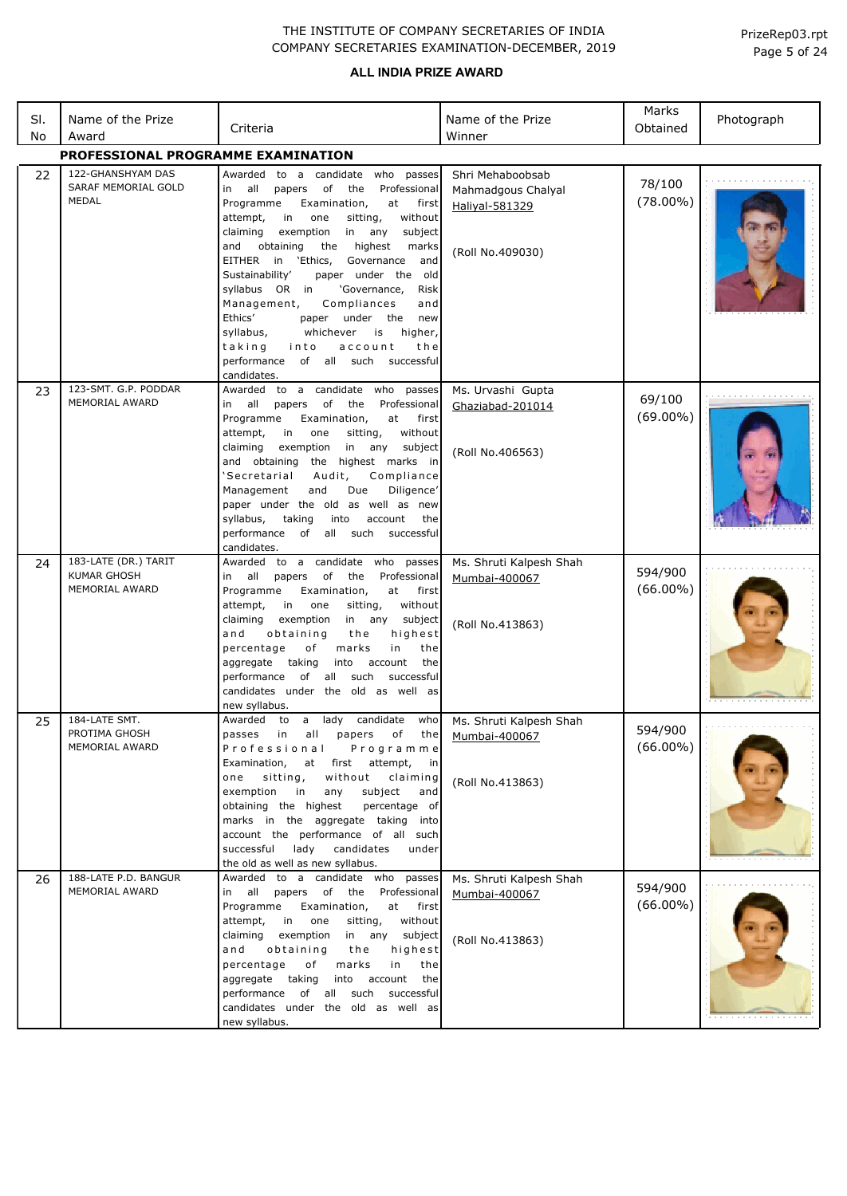### **ALL INDIA PRIZE AWARD**

| SI.<br>No | Name of the Prize<br>Award                                   | Criteria                                                                                                                                                                                                                                                                                                                                                                                                                                                                                                                                                                                                                             | Name of the Prize<br>Winner                                                  | Marks<br>Obtained      | Photograph |
|-----------|--------------------------------------------------------------|--------------------------------------------------------------------------------------------------------------------------------------------------------------------------------------------------------------------------------------------------------------------------------------------------------------------------------------------------------------------------------------------------------------------------------------------------------------------------------------------------------------------------------------------------------------------------------------------------------------------------------------|------------------------------------------------------------------------------|------------------------|------------|
|           | PROFESSIONAL PROGRAMME EXAMINATION                           |                                                                                                                                                                                                                                                                                                                                                                                                                                                                                                                                                                                                                                      |                                                                              |                        |            |
| 22        | 122-GHANSHYAM DAS<br>SARAF MEMORIAL GOLD<br>MEDAL            | Awarded to a candidate who passes<br>all papers of<br>the<br>Professional<br>in<br>Programme<br>Examination,<br>at<br>first<br>attempt,<br>sitting,<br>in<br>one<br>without<br>claiming<br>exemption<br>in<br>any<br>subject<br>the<br>highest<br>and<br>obtaining<br>marks<br>EITHER<br>in<br>`Ethics,<br>Governance<br>and<br>Sustainability'<br>paper under the old<br>syllabus OR in<br>'Governance,<br>Risk<br>Management,<br>Compliances<br>and<br>Ethics'<br>under the<br>new<br>paper<br>syllabus,<br>whichever<br>is<br>higher,<br>taking<br>into<br>account<br>the<br>of all such successful<br>performance<br>candidates. | Shri Mehaboobsab<br>Mahmadgous Chalyal<br>Haliyal-581329<br>(Roll No.409030) | 78/100<br>$(78.00\%)$  |            |
| 23        | 123-SMT. G.P. PODDAR<br>MEMORIAL AWARD                       | Awarded to a candidate who passes<br>all papers<br>of<br>the<br>Professional<br>in<br>Programme<br>Examination,<br>at<br>first<br>in<br>attempt,<br>one<br>sitting,<br>without<br>exemption<br>in<br>claiming<br>any<br>subject<br>and obtaining the highest marks in<br>'Secretarial<br>Compliance<br>Audit,<br>and<br>Due<br>Diligence'<br>Management<br>paper under the old as well as new<br>syllabus,<br>taking<br>into<br>account<br>the<br>performance of<br>all such<br>successful<br>candidates.                                                                                                                            | Ms. Urvashi Gupta<br>Ghaziabad-201014<br>(Roll No.406563)                    | 69/100<br>$(69.00\%)$  |            |
| 24        | 183-LATE (DR.) TARIT<br><b>KUMAR GHOSH</b><br>MEMORIAL AWARD | Awarded to a candidate who passes<br>in all<br>of<br>the<br>Professional<br>papers<br>Programme<br>Examination,<br>at<br>first<br>in<br>without<br>attempt,<br>one<br>sitting,<br>claiming<br>exemption<br>in<br>any<br>subject<br>obtaining<br>highest<br>and<br>the<br>percentage<br>marks<br>in<br>of<br>the<br>aggregate<br>taking<br>into<br>account<br>the<br>performance<br>of all such<br>successful<br>candidates under the old as well as<br>new syllabus.                                                                                                                                                                 | Ms. Shruti Kalpesh Shah<br>Mumbai-400067<br>(Roll No.413863)                 | 594/900<br>$(66.00\%)$ |            |
| 25        | 184-LATE SMT.<br>PROTIMA GHOSH<br>MEMORIAL AWARD             | Awarded to a lady candidate who Ms. Shruti Kalpesh Shah<br>passes in all papers of the Mumbai-400067<br>Programme<br>Professional<br>Examination, at first attempt, in<br>without claiming<br>sitting,<br>one<br>exemption in<br>subject<br>any<br>and<br>obtaining the highest<br>percentage of<br>marks in the aggregate taking into<br>account the performance of all such<br>successful<br>lady candidates<br>under<br>the old as well as new syllabus.                                                                                                                                                                          | (Roll No.413863)                                                             | 594/900<br>$(66.00\%)$ |            |
| 26        | 188-LATE P.D. BANGUR<br>MEMORIAL AWARD                       | Awarded to a candidate who passes<br>in all papers of the Professional<br>Programme<br>Examination,<br>at<br>first<br>attempt,<br>in one<br>sitting,<br>without<br>in any subject<br>claiming<br>exemption<br>obtaining<br>highest<br>and<br>the<br>percentage<br>marks<br>of<br>in<br>the<br>aggregate taking<br>into account<br>the<br>performance of all such successful<br>candidates under the old as well as<br>new syllabus.                                                                                                                                                                                                  | Ms. Shruti Kalpesh Shah<br>Mumbai-400067<br>(Roll No.413863)                 | 594/900<br>$(66.00\%)$ |            |

Page 5 of 24 PrizeRep03.rpt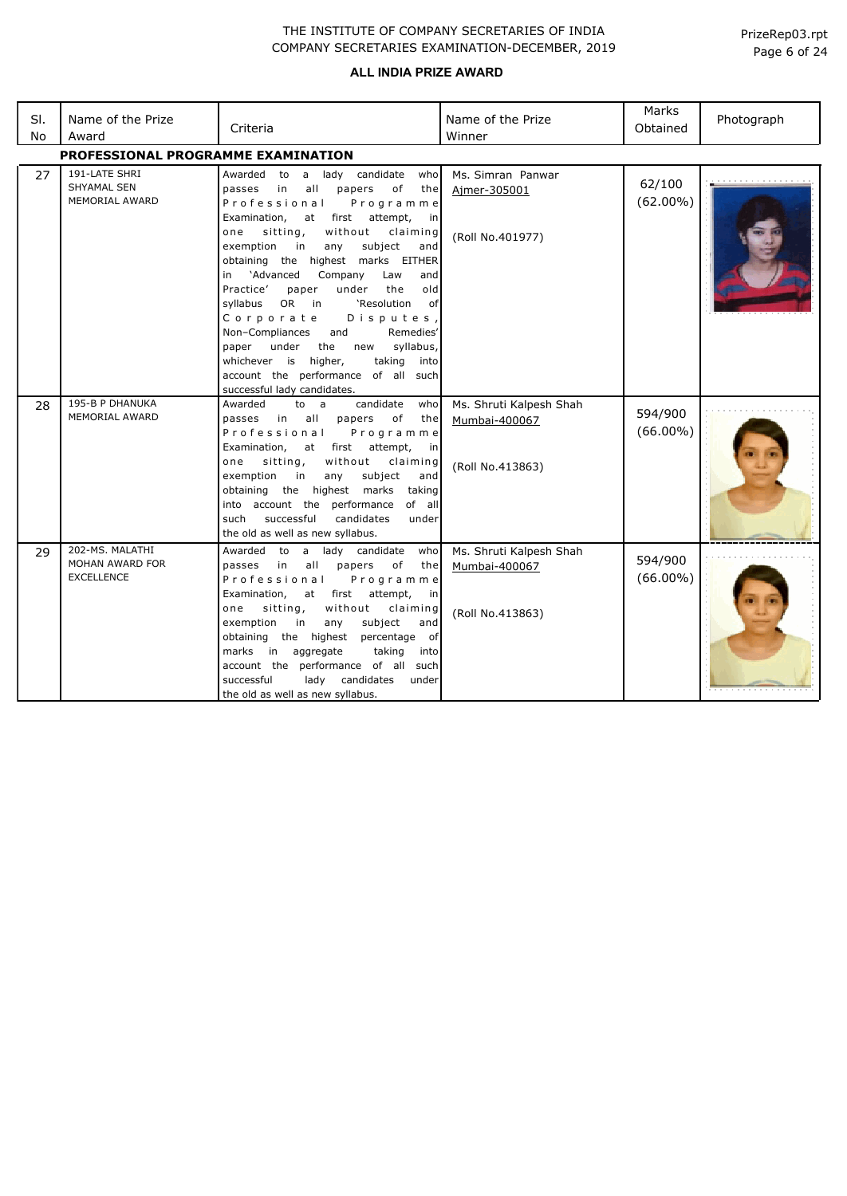| SI.<br>No | Name of the Prize<br>Award                              | Criteria                                                                                                                                                                                                                                                                                                                                                                                                                                                                                                                                                                                                                                                          | Name of the Prize<br>Winner                                  | Marks<br>Obtained      | Photograph |  |  |  |
|-----------|---------------------------------------------------------|-------------------------------------------------------------------------------------------------------------------------------------------------------------------------------------------------------------------------------------------------------------------------------------------------------------------------------------------------------------------------------------------------------------------------------------------------------------------------------------------------------------------------------------------------------------------------------------------------------------------------------------------------------------------|--------------------------------------------------------------|------------------------|------------|--|--|--|
|           | PROFESSIONAL PROGRAMME EXAMINATION                      |                                                                                                                                                                                                                                                                                                                                                                                                                                                                                                                                                                                                                                                                   |                                                              |                        |            |  |  |  |
| 27        | 191-LATE SHRI<br><b>SHYAMAL SEN</b><br>MEMORIAL AWARD   | Awarded to a<br>lady candidate<br>who<br>papers<br>in<br>all<br>оf<br>the<br>passes<br>Professional<br>Programme<br>first<br>attempt,<br>Examination,<br>at<br>in<br>without<br>sitting,<br>claiming<br>one<br>exemption<br>in<br>any<br>subject<br>and<br>obtaining the highest marks EITHER<br>'Advanced<br>Company<br>in<br>Law<br>and<br>Practice'<br>under<br>the<br>old<br>paper<br>OR in<br>'Resolution<br>syllabus<br>0f<br>Corporate<br>Disputes,<br>Non-Compliances<br>and<br>Remedies'<br>syllabus,<br>under<br>the<br>paper<br>new<br>higher,<br>whichever is<br>taking<br>into<br>account the performance of all such<br>successful lady candidates. | Ms. Simran Panwar<br>Aimer-305001<br>(Roll No.401977)        | 62/100<br>$(62.00\%)$  |            |  |  |  |
| 28        | 195-B P DHANUKA<br>MEMORIAL AWARD                       | candidate<br>Awarded<br>to a<br>who<br>all<br>of<br>passes<br>in<br>papers<br>the<br>Professional<br>Programme<br>Examination,<br>first<br>attempt,<br>at<br>in<br>sitting,<br>without<br>claiming<br>one<br>subject<br>exemption<br>in<br>any<br>and<br>obtaining the highest marks<br>taking<br>into account the performance<br>of all<br>successful<br>candidates<br>such<br>under<br>the old as well as new syllabus.                                                                                                                                                                                                                                         | Ms. Shruti Kalpesh Shah<br>Mumbai-400067<br>(Roll No.413863) | 594/900<br>$(66.00\%)$ |            |  |  |  |
| 29        | 202-MS, MALATHI<br>MOHAN AWARD FOR<br><b>EXCELLENCE</b> | Awarded<br>to<br>a lady candidate<br>who<br>in<br>all<br>оf<br>passes<br>papers<br>the<br>Professional<br>Programme<br>first<br>attempt,<br>Examination,<br>at<br>in<br>without<br>sitting,<br>claiming<br>one<br>exemption<br>in<br>subject<br>any<br>and<br>obtaining<br>the highest<br>percentage of<br>aggregate<br>taking<br>marks in<br>into<br>account the performance of all such<br>successful<br>lady candidates<br>under<br>the old as well as new syllabus.                                                                                                                                                                                           | Ms. Shruti Kalpesh Shah<br>Mumbai-400067<br>(Roll No.413863) | 594/900<br>$(66.00\%)$ |            |  |  |  |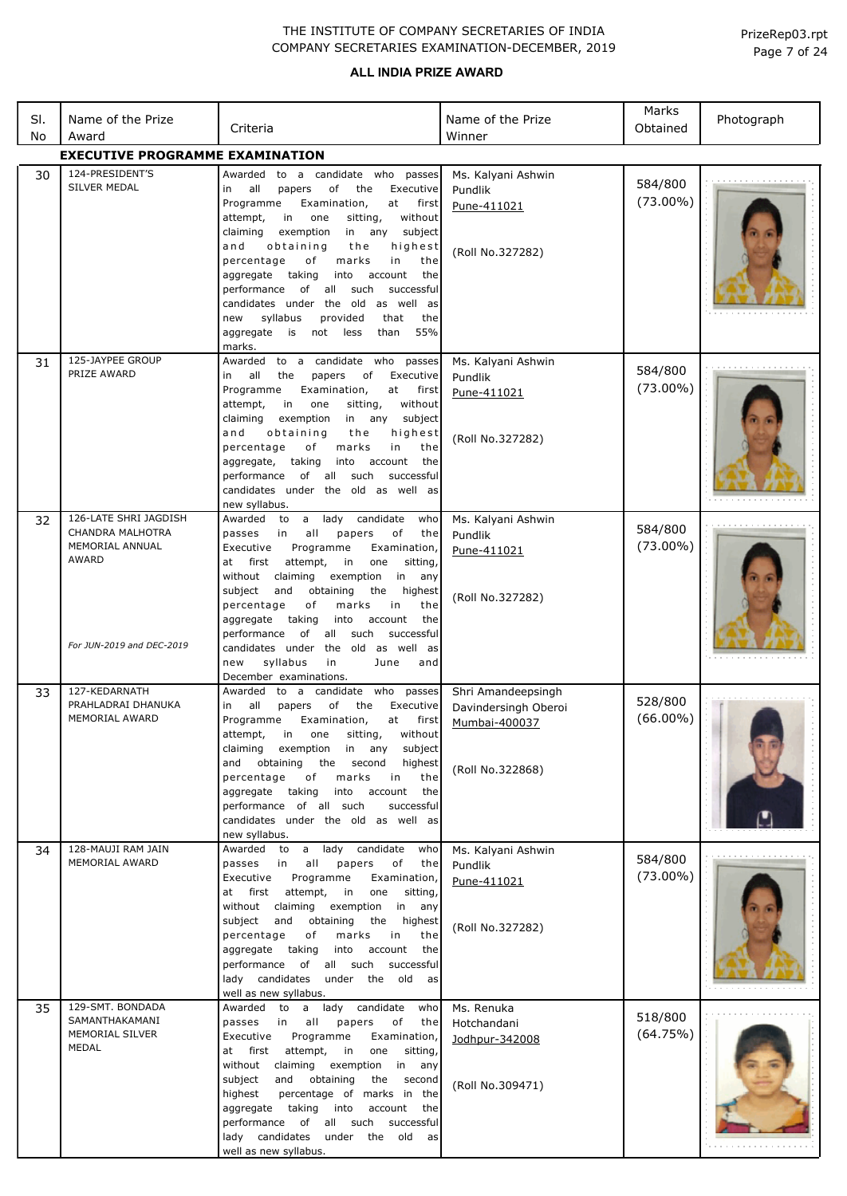| SI. | Name of the Prize                      | Criteria                                                                                                                                                                                                                           | Name of the Prize                            | Marks<br>Obtained      | Photograph |
|-----|----------------------------------------|------------------------------------------------------------------------------------------------------------------------------------------------------------------------------------------------------------------------------------|----------------------------------------------|------------------------|------------|
| No  | Award                                  |                                                                                                                                                                                                                                    | Winner                                       |                        |            |
|     | <b>EXECUTIVE PROGRAMME EXAMINATION</b> |                                                                                                                                                                                                                                    |                                              |                        |            |
| 30  | 124-PRESIDENT'S<br>SILVER MEDAL        | to a candidate who passes<br>Awarded<br>of<br>Executive<br>all<br>papers<br>the<br>in<br>Programme<br>Examination,<br>at<br>first                                                                                                  | Ms. Kalyani Ashwin<br>Pundlik<br>Pune-411021 | 584/800<br>$(73.00\%)$ |            |
|     |                                        | without<br>attempt,<br>in<br>one<br>sitting,<br>claiming<br>exemption<br>in any<br>subject<br>and<br>obtaining<br>the<br>highest<br>percentage<br>оf<br>marks<br>in<br>the                                                         | (Roll No.327282)                             |                        |            |
|     |                                        | aggregate taking<br>into<br>account<br>the<br>performance<br>of<br>all<br>such<br>successful<br>candidates under the old as well as<br>syllabus<br>provided<br>the<br>new<br>that<br>55%<br>aggregate<br>is<br>not less<br>than    |                                              |                        |            |
|     |                                        | marks.                                                                                                                                                                                                                             |                                              |                        |            |
| 31  | 125-JAYPEE GROUP<br>PRIZE AWARD        | to a candidate who<br>Awarded<br>passes<br>all<br>the<br>papers<br>of<br>Executive<br>in<br>Programme<br>Examination,<br>at<br>first<br>without<br>attempt,<br>in<br>one<br>sitting,<br>claiming<br>exemption<br>in any<br>subject | Ms. Kalyani Ashwin<br>Pundlik<br>Pune-411021 | 584/800<br>$(73.00\%)$ |            |
|     |                                        | obtaining<br>and<br>the<br>highest<br>percentage<br>оf<br>marks<br>in<br>the<br>taking<br>aggregate,<br>into account<br>the<br>of all<br>such<br>performance<br>successful                                                         | (Roll No.327282)                             |                        |            |
|     |                                        | candidates under the old as well as<br>new syllabus.                                                                                                                                                                               |                                              |                        |            |
| 32  | 126-LATE SHRI JAGDISH                  | candidate<br>Awarded<br>lady<br>to<br>a<br>who                                                                                                                                                                                     | Ms. Kalyani Ashwin                           | 584/800                |            |
|     | CHANDRA MALHOTRA<br>MEMORIAL ANNUAL    | all<br>of<br>passes<br>in<br>papers<br>the<br>Programme<br>Executive<br>Examination,                                                                                                                                               | Pundlik<br>Pune-411021                       | $(73.00\%)$            |            |
|     | <b>AWARD</b>                           | at<br>first<br>attempt,<br>in<br>one<br>sitting,                                                                                                                                                                                   |                                              |                        |            |
|     |                                        | without<br>claiming<br>exemption<br>in<br>any<br>subject<br>highest<br>and<br>obtaining<br>the                                                                                                                                     |                                              |                        |            |
|     |                                        | percentage<br>оf<br>marks<br>in<br>the                                                                                                                                                                                             | (Roll No.327282)                             |                        |            |
|     |                                        | aggregate taking<br>into<br>account<br>the                                                                                                                                                                                         |                                              |                        |            |
|     | For JUN-2019 and DEC-2019              | performance<br>all<br>such<br>successful<br>of<br>candidates under the old as well as                                                                                                                                              |                                              |                        |            |
|     |                                        | syllabus<br>new<br>in<br>June<br>and                                                                                                                                                                                               |                                              |                        |            |
| 33  | 127-KEDARNATH                          | December examinations.<br>Awarded to a candidate who passes                                                                                                                                                                        | Shri Amandeepsingh                           |                        |            |
|     | PRAHLADRAI DHANUKA                     | of<br>all<br>papers<br>the<br>Executive<br>in                                                                                                                                                                                      | Davindersingh Oberoi                         | 528/800                |            |
|     | MEMORIAL AWARD                         | Programme<br>Examination,<br>at first<br>sitting,<br>without<br>attempt,<br>$\mathsf{in}$<br>one                                                                                                                                   | Mumbai-400037                                | $(66.00\%)$            |            |
|     |                                        | claiming exemption<br>in any<br>subject                                                                                                                                                                                            |                                              |                        |            |
|     |                                        | and obtaining<br>the<br>second<br>highest<br>percentage<br>of<br>marks<br>in<br>the                                                                                                                                                | (Roll No.322868)                             |                        |            |
|     |                                        | aggregate taking<br>into<br>account<br>the                                                                                                                                                                                         |                                              |                        |            |
|     |                                        | performance of all such<br>successful                                                                                                                                                                                              |                                              |                        |            |
|     |                                        | candidates under the old as well as<br>new syllabus.                                                                                                                                                                               |                                              |                        |            |
| 34  | 128-MAUJI RAM JAIN<br>MEMORIAL AWARD   | Awarded to a lady candidate who                                                                                                                                                                                                    | Ms. Kalyani Ashwin                           | 584/800                |            |
|     |                                        | passes in<br>all<br>papers<br>of<br>the<br>Programme<br>Executive<br>Examination,                                                                                                                                                  | Pundlik<br>Pune-411021                       | $(73.00\%)$            |            |
|     |                                        | at first attempt,<br>in<br>one sitting,                                                                                                                                                                                            |                                              |                        |            |
|     |                                        | without claiming<br>exemption<br>in any<br>subject<br>and<br>obtaining<br>the<br>highest                                                                                                                                           |                                              |                        |            |
|     |                                        | percentage<br>of<br>marks<br>in<br>the                                                                                                                                                                                             | (Roll No.327282)                             |                        |            |
|     |                                        | aggregate taking<br>into account<br>the<br>performance of all such successful                                                                                                                                                      |                                              |                        |            |
|     |                                        | lady candidates under the old as                                                                                                                                                                                                   |                                              |                        |            |
| 35  | 129-SMT. BONDADA                       | well as new syllabus.<br>Awarded to a lady candidate<br>who                                                                                                                                                                        | Ms. Renuka                                   |                        |            |
|     | SAMANTHAKAMANI                         | passes in<br>all<br>papers<br>of<br>the                                                                                                                                                                                            | Hotchandani                                  | 518/800                |            |
|     | MEMORIAL SILVER<br>MEDAL               | Programme<br>Executive<br>Examination,<br>in<br>one                                                                                                                                                                                | Jodhpur-342008                               | (64.75%)               |            |
|     |                                        | attempt,<br>at first<br>sitting,<br>without claiming exemption<br>in any                                                                                                                                                           |                                              |                        |            |
|     |                                        | subject<br>and obtaining<br>the<br>second                                                                                                                                                                                          | (Roll No.309471)                             |                        |            |
|     |                                        | percentage of marks in the<br>highest<br>aggregate taking into<br>account the                                                                                                                                                      |                                              |                        |            |
|     |                                        | performance of all such successful                                                                                                                                                                                                 |                                              |                        |            |
|     |                                        | lady candidates under the old as<br>well as new syllabus.                                                                                                                                                                          |                                              |                        |            |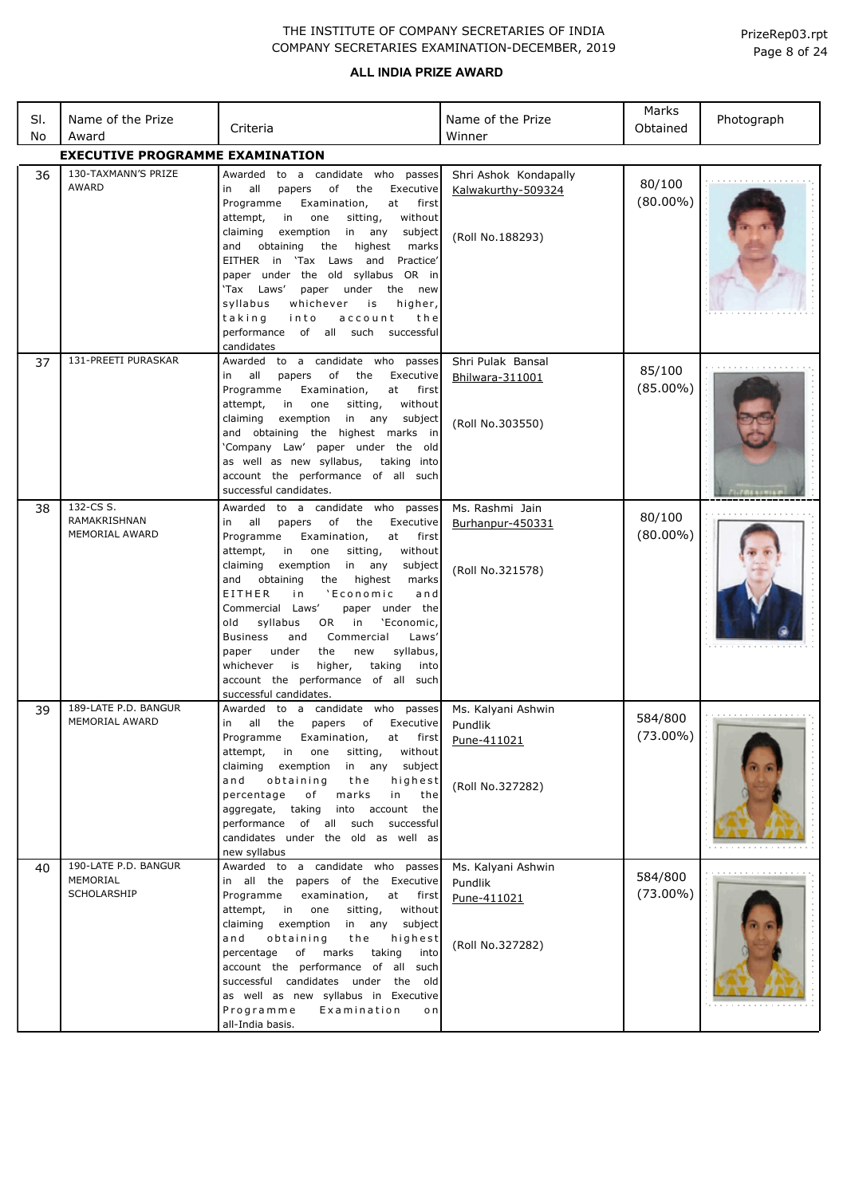| SI.<br>No | Name of the Prize<br>Award                      | Criteria                                                                                                                                                                                                                                                                                                                                                                                                                                                                                                                                                                                                     | Name of the Prize<br>Winner                                      | Marks<br>Obtained      | Photograph |
|-----------|-------------------------------------------------|--------------------------------------------------------------------------------------------------------------------------------------------------------------------------------------------------------------------------------------------------------------------------------------------------------------------------------------------------------------------------------------------------------------------------------------------------------------------------------------------------------------------------------------------------------------------------------------------------------------|------------------------------------------------------------------|------------------------|------------|
|           | <b>EXECUTIVE PROGRAMME EXAMINATION</b>          |                                                                                                                                                                                                                                                                                                                                                                                                                                                                                                                                                                                                              |                                                                  |                        |            |
| 36        | 130-TAXMANN'S PRIZE<br><b>AWARD</b>             | Awarded to a candidate who passes<br>of<br>Executive<br>in all<br>papers<br>the<br>Programme<br>Examination,<br>at<br>first<br>attempt,<br>in<br>one<br>sitting,<br>without<br>claiming<br>exemption<br>in<br>any<br>subject<br>and<br>obtaining<br>the<br>highest<br>marks<br>EITHER in 'Tax Laws and Practice'<br>paper under the old syllabus OR in<br>'Tax Laws'<br>paper under the new<br>syllabus<br>whichever<br>is<br>higher,<br>taking<br>into<br>account<br>the<br>performance of all such successful<br>candidates                                                                                | Shri Ashok Kondapally<br>Kalwakurthy-509324<br>(Roll No.188293)  | 80/100<br>$(80.00\%)$  |            |
| 37        | 131-PREETI PURASKAR                             | Awarded to a candidate who passes<br>of the<br>Executive<br>in all<br>papers<br>Programme<br>Examination,<br>at<br>first<br>attempt,<br>in<br>one<br>sitting,<br>without<br>claiming<br>exemption<br>in any<br>subject<br>and obtaining the highest marks in<br>'Company Law' paper under the old<br>as well as new syllabus,<br>taking into<br>account the performance of all such<br>successful candidates.                                                                                                                                                                                                | Shri Pulak Bansal<br>Bhilwara-311001<br>(Roll No.303550)         | 85/100<br>$(85.00\%)$  |            |
| 38        | 132-CS S.<br>RAMAKRISHNAN<br>MEMORIAL AWARD     | Awarded to a candidate who passes<br>of<br>in all<br>papers<br>the<br>Executive<br>Programme<br>Examination,<br>at<br>first<br>attempt,<br>in<br>one<br>sitting,<br>without<br>in any<br>claiming<br>exemption<br>subject<br>and obtaining<br>the<br>highest<br>marks<br>EITHER<br>'Economic<br>in<br>and<br>Commercial Laws'<br>paper under the<br>'Economic,<br>old<br>syllabus<br>OR<br>in<br>Commercial<br><b>Business</b><br>Laws'<br>and<br>under<br>the<br>new<br>syllabus,<br>paper<br>taking<br>whichever<br>is<br>higher,<br>into<br>account the performance of all such<br>successful candidates. | Ms. Rashmi Jain<br>Burhanpur-450331<br>(Roll No.321578)          | 80/100<br>$(80.00\%)$  |            |
| 39        | 189-LATE P.D. BANGUR<br>MEMORIAL AWARD          | Awarded to a candidate who passes<br>in all the<br>papers of Executive<br>Programme Examination, at first<br>without<br>attempt, in one<br>sitting,<br>exemption in any subject<br>claiming<br>and obtaining<br>highest<br>the<br>percentage<br>marks<br>of<br>in<br>the<br>aggregate, taking into account the<br>performance of all such successful<br>candidates under the old as well as<br>new syllabus                                                                                                                                                                                                  | Ms. Kalyani Ashwin<br>Pundlik<br>Pune-411021<br>(Roll No.327282) | 584/800<br>$(73.00\%)$ |            |
| 40        | 190-LATE P.D. BANGUR<br>MEMORIAL<br>SCHOLARSHIP | Awarded to a candidate who passes<br>in all the papers of the Executive<br>Programme examination,<br>at first<br>attempt, in one<br>sitting,<br>without<br>claiming exemption in any subject<br>and obtaining<br>the<br>highest<br>percentage of marks taking<br>into<br>account the performance of all such<br>successful candidates under the old<br>as well as new syllabus in Executive<br>Programme<br>Examination<br>o n<br>all-India basis.                                                                                                                                                           | Ms. Kalyani Ashwin<br>Pundlik<br>Pune-411021<br>(Roll No.327282) | 584/800<br>$(73.00\%)$ |            |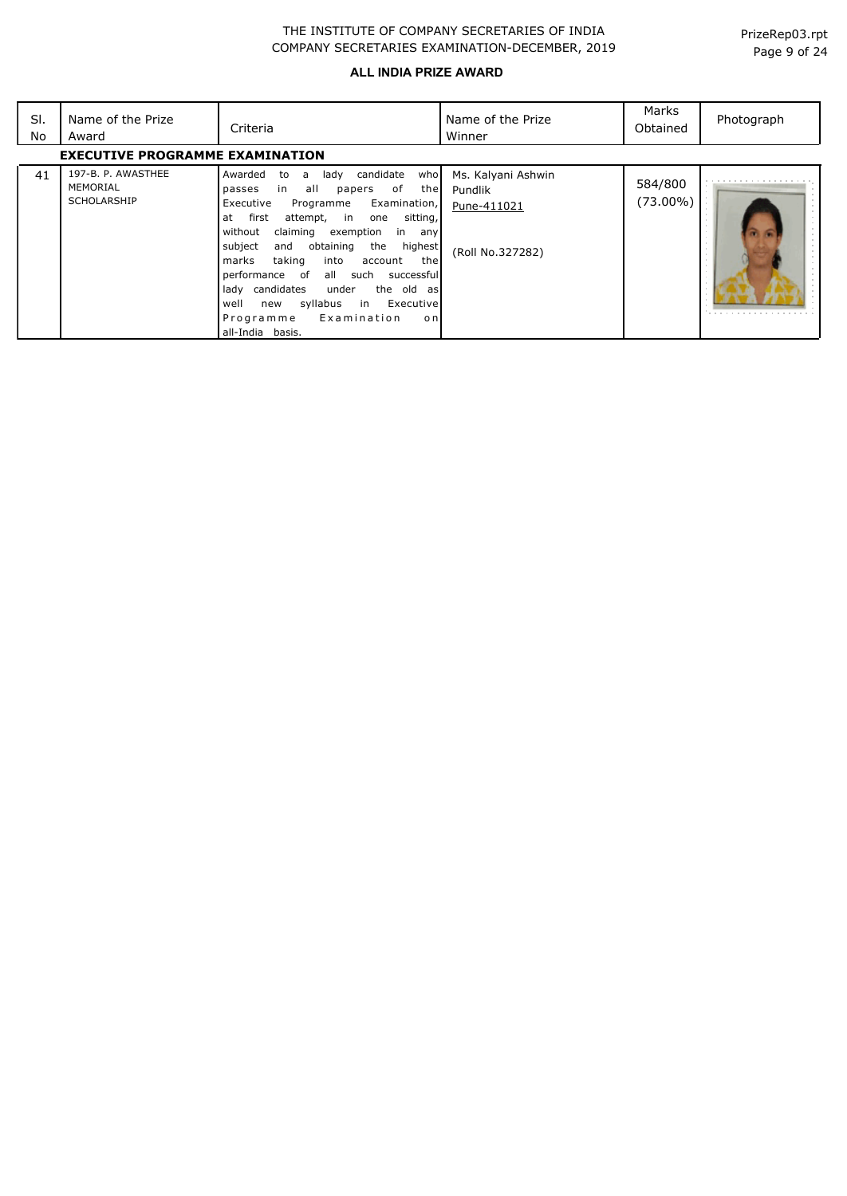| SI.<br>No | Name of the Prize<br>Award                           | Criteria                                                                                                                                                                                                                                                                                                                                                                                                                                                                                                                   | Name of the Prize<br>Winner                                      | Marks<br>Obtained   | Photograph |
|-----------|------------------------------------------------------|----------------------------------------------------------------------------------------------------------------------------------------------------------------------------------------------------------------------------------------------------------------------------------------------------------------------------------------------------------------------------------------------------------------------------------------------------------------------------------------------------------------------------|------------------------------------------------------------------|---------------------|------------|
|           | <b>EXECUTIVE PROGRAMME EXAMINATION</b>               |                                                                                                                                                                                                                                                                                                                                                                                                                                                                                                                            |                                                                  |                     |            |
| 41        | 197-B. P. AWASTHEE<br>MEMORIAL<br><b>SCHOLARSHIP</b> | candidate<br>lady<br>who<br>Awarded<br>to<br>a<br>all<br>of<br>thel<br>in<br>papers<br>passes<br>Executive<br>Examination,<br>Programme<br>first<br>attempt, in one<br>sitting,<br>at<br>claiming exemption<br>without<br>in anyl<br>subject<br>obtaining<br>the<br>highest  <br>and<br>taking<br>marks<br>into<br>thel<br>account<br>performance of all such<br>successful<br>lady candidates<br>under<br>the old as<br>syllabus<br>Executive<br>in<br>well<br>new<br>Examination<br>Programme<br>o n<br>all-India basis. | Ms. Kalyani Ashwin<br>Pundlik<br>Pune-411021<br>(Roll No.327282) | 584/800<br>(73.00%) |            |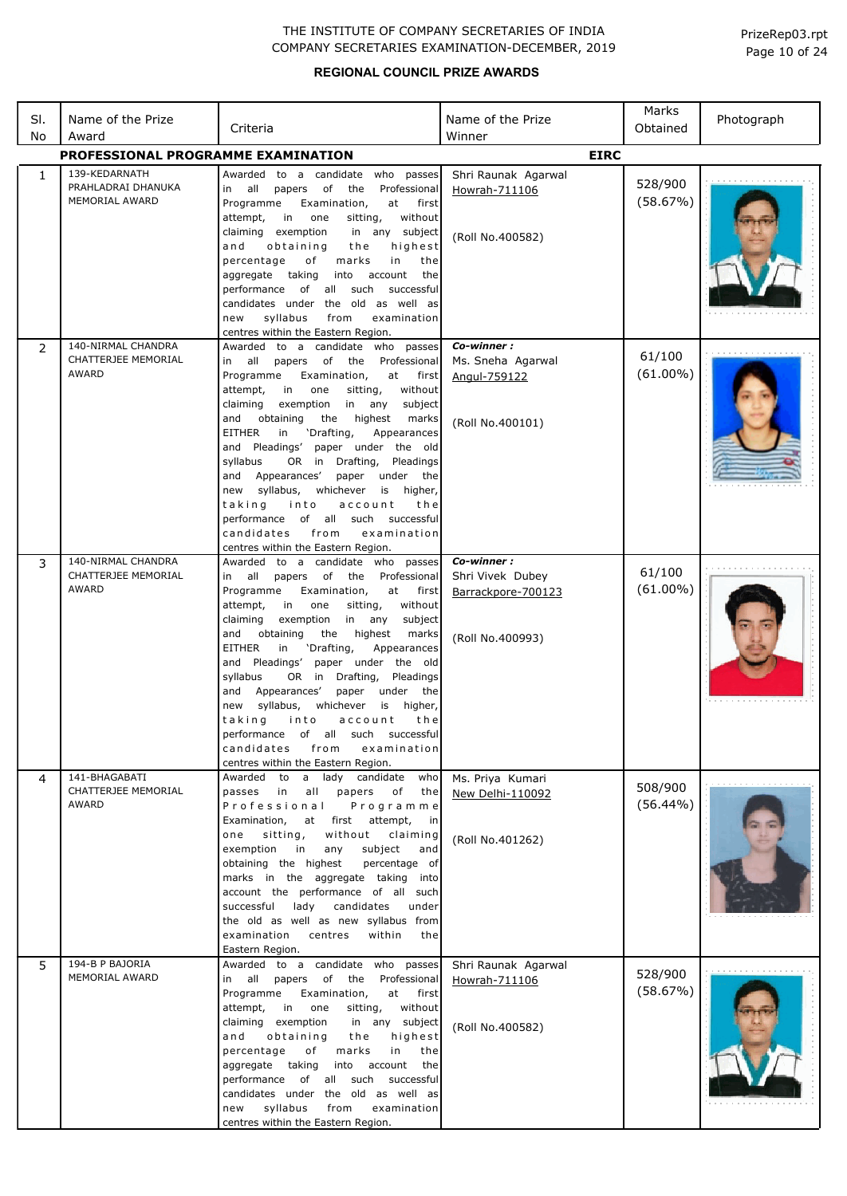| PrizeRep03.rpt |  |  |
|----------------|--|--|
| Page 10 of 24  |  |  |

| SI.<br>No | Name of the Prize<br>Award                            | Criteria                                                                                                                                                                                                                                                                                                                                                                                                                                                                                                                                                                                                                                                                             | Name of the Prize<br>Winner                                              | Marks<br>Obtained      | Photograph |
|-----------|-------------------------------------------------------|--------------------------------------------------------------------------------------------------------------------------------------------------------------------------------------------------------------------------------------------------------------------------------------------------------------------------------------------------------------------------------------------------------------------------------------------------------------------------------------------------------------------------------------------------------------------------------------------------------------------------------------------------------------------------------------|--------------------------------------------------------------------------|------------------------|------------|
|           | <b>PROFESSIONAL PROGRAMME EXAMINATION</b>             |                                                                                                                                                                                                                                                                                                                                                                                                                                                                                                                                                                                                                                                                                      | <b>EIRC</b>                                                              |                        |            |
| 1         | 139-KEDARNATH<br>PRAHLADRAI DHANUKA<br>MEMORIAL AWARD | to a candidate who passes<br>Awarded<br>in all<br>of<br>the<br>Professional<br>papers<br>Programme<br>Examination,<br>at<br>first<br>without<br>attempt,<br>in<br>one<br>sitting,<br>claiming exemption<br>in any subject<br>highest<br>and<br>obtaining<br>the<br>in<br>percentage<br>of<br>marks<br>the<br>aggregate taking<br>account<br>into<br>the<br>of all such<br>successful<br>performance<br>candidates under the old as well as<br>syllabus<br>from<br>examination<br>new<br>centres within the Eastern Region.                                                                                                                                                           | Shri Raunak Agarwal<br>Howrah-711106<br>(Roll No.400582)                 | 528/900<br>(58.67%)    |            |
| 2         | 140-NIRMAL CHANDRA<br>CHATTERJEE MEMORIAL<br>AWARD    | Awarded to a candidate who passes<br>papers of the<br>Professional<br>all<br>in<br>Programme<br>Examination,<br>at<br>first<br>without<br>attempt,<br>in<br>one<br>sitting,<br>in any<br>claiming<br>exemption<br>subject<br>obtaining<br>highest<br>and<br>the<br>marks<br><b>EITHER</b><br>'Drafting,<br>in<br>Appearances<br>and Pleadings'<br>paper under the old<br>OR in<br>Drafting,<br>Pleadings<br>syllabus<br>Appearances'<br>paper<br>under<br>the<br>and<br>new syllabus,<br>whichever<br>is<br>higher,<br>taking<br>into<br>account<br>the<br>performance<br>of all such successful<br>candidates<br>examination<br>from<br>centres within the Eastern Region.          | Co-winner:<br>Ms. Sneha Agarwal<br>Angul-759122<br>(Roll No.400101)      | 61/100<br>$(61.00\%)$  |            |
| 3         | 140-NIRMAL CHANDRA<br>CHATTERJEE MEMORIAL<br>AWARD    | Awarded to a candidate who<br>passes<br>in all<br>of<br>the<br>Professional<br>papers<br>Programme<br>Examination,<br>at<br>first<br>attempt,<br>in<br>one<br>sitting,<br>without<br>claiming<br>exemption<br>in any<br>subject<br>highest<br>and<br>obtaining<br>the<br>marks<br><b>EITHER</b><br>in<br>'Drafting,<br>Appearances<br>and Pleadings'<br>paper under the old<br>OR in<br>Drafting,<br>Pleadings<br>syllabus<br>Appearances'<br>under<br>and<br>paper<br>the<br>syllabus,<br>whichever<br>is<br>higher,<br>new<br>taking<br>into<br>account<br>the<br>of all such successful<br>performance<br>candidates<br>from<br>examination<br>centres within the Eastern Region. | Co-winner:<br>Shri Vivek Dubey<br>Barrackpore-700123<br>(Roll No.400993) | 61/100<br>$(61.00\%)$  |            |
| 4         | 141-BHAGABATI<br>CHATTERJEE MEMORIAL<br>AWARD         | Awarded to<br>a lady candidate<br>who<br>passes<br>in<br>all<br>papers<br>of<br>the<br>Professional<br>Programme<br>Examination,<br>at<br>first<br>attempt,<br>in<br>sitting,<br>without<br>one<br>claiming<br>exemption<br>subject<br>in<br>any<br>and<br>obtaining the highest<br>percentage of<br>marks in the aggregate taking into<br>account the performance of all such<br>successful<br>lady<br>candidates<br>under<br>the old as well as new syllabus from<br>within<br>examination<br>centres<br>the<br>Eastern Region.                                                                                                                                                    | Ms. Priya Kumari<br>New Delhi-110092<br>(Roll No.401262)                 | 508/900<br>$(56.44\%)$ |            |
| 5         | 194-B P BAJORIA<br>MEMORIAL AWARD                     | Awarded to a candidate who passes<br>in all papers<br>of<br>the<br>Professional<br>Programme<br>Examination,<br>at<br>first<br>in<br>without<br>attempt,<br>one<br>sitting,<br>claiming exemption<br>in any subject<br>obtaining<br>highest<br>and<br>the<br>marks<br>percentage<br>of<br>in<br>the<br>into<br>account<br>aggregate taking<br>the<br>performance of all such successful<br>candidates under the old as well as<br>syllabus<br>from<br>examination<br>new<br>centres within the Eastern Region.                                                                                                                                                                       | Shri Raunak Agarwal<br>Howrah-711106<br>(Roll No.400582)                 | 528/900<br>(58.67%)    |            |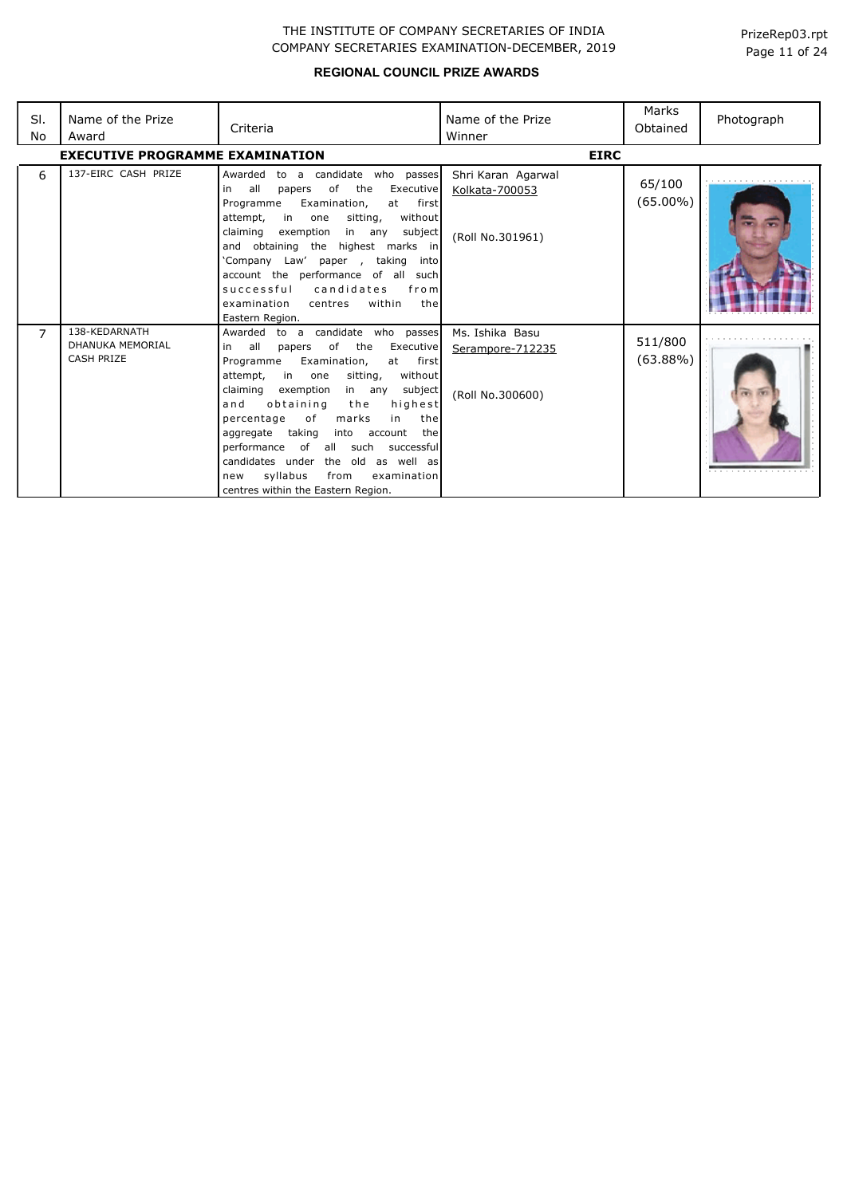| SI.<br>No | Name of the Prize<br>Award                                    | Criteria                                                                                                                                                                                                                                                                                                                                                                                                                                                                                                                      | Name of the Prize<br>Winner                              | Marks<br>Obtained      | Photograph |
|-----------|---------------------------------------------------------------|-------------------------------------------------------------------------------------------------------------------------------------------------------------------------------------------------------------------------------------------------------------------------------------------------------------------------------------------------------------------------------------------------------------------------------------------------------------------------------------------------------------------------------|----------------------------------------------------------|------------------------|------------|
|           | <b>EXECUTIVE PROGRAMME EXAMINATION</b>                        |                                                                                                                                                                                                                                                                                                                                                                                                                                                                                                                               | <b>EIRC</b>                                              |                        |            |
| 6         | 137-EIRC CASH PRIZE                                           | Awarded<br>to a candidate who passes<br>all<br>of<br>the<br>Executive<br>in<br>papers<br>Programme<br>Examination,<br>first<br>at<br>in<br>sitting,<br>without<br>attempt,<br>one<br>claiming<br>subject<br>exemption<br>in any<br>and obtaining the highest marks in<br>'Company Law' paper<br>taking into<br>$\sim$<br>account the performance of all<br>such<br>successful<br>candidates<br>from<br>within<br>examination<br>centres<br>the<br>Eastern Region.                                                             | Shri Karan Agarwal<br>Kolkata-700053<br>(Roll No.301961) | 65/100<br>$(65.00\%)$  |            |
| 7         | 138-KEDARNATH<br><b>DHANUKA MEMORIAL</b><br><b>CASH PRIZE</b> | Awarded to a candidate who passes<br>all<br>of<br>the<br>Executive<br>in<br>papers<br>Examination,<br>Programme<br>at first<br>attempt,<br>in<br>sitting,<br>without<br>one<br>claiming<br>exemption<br>in any<br>subject<br>obtaining<br>highest<br>and<br>the<br>percentage<br>of<br>marks<br>in<br>the<br>taking<br>aggregate<br>into<br>account<br>the<br>performance<br>of all such<br>successful<br>candidates under the old as well as<br>syllabus<br>from<br>examination<br>new<br>centres within the Eastern Region. | Ms. Ishika Basu<br>Serampore-712235<br>(Roll No.300600)  | 511/800<br>$(63.88\%)$ | .          |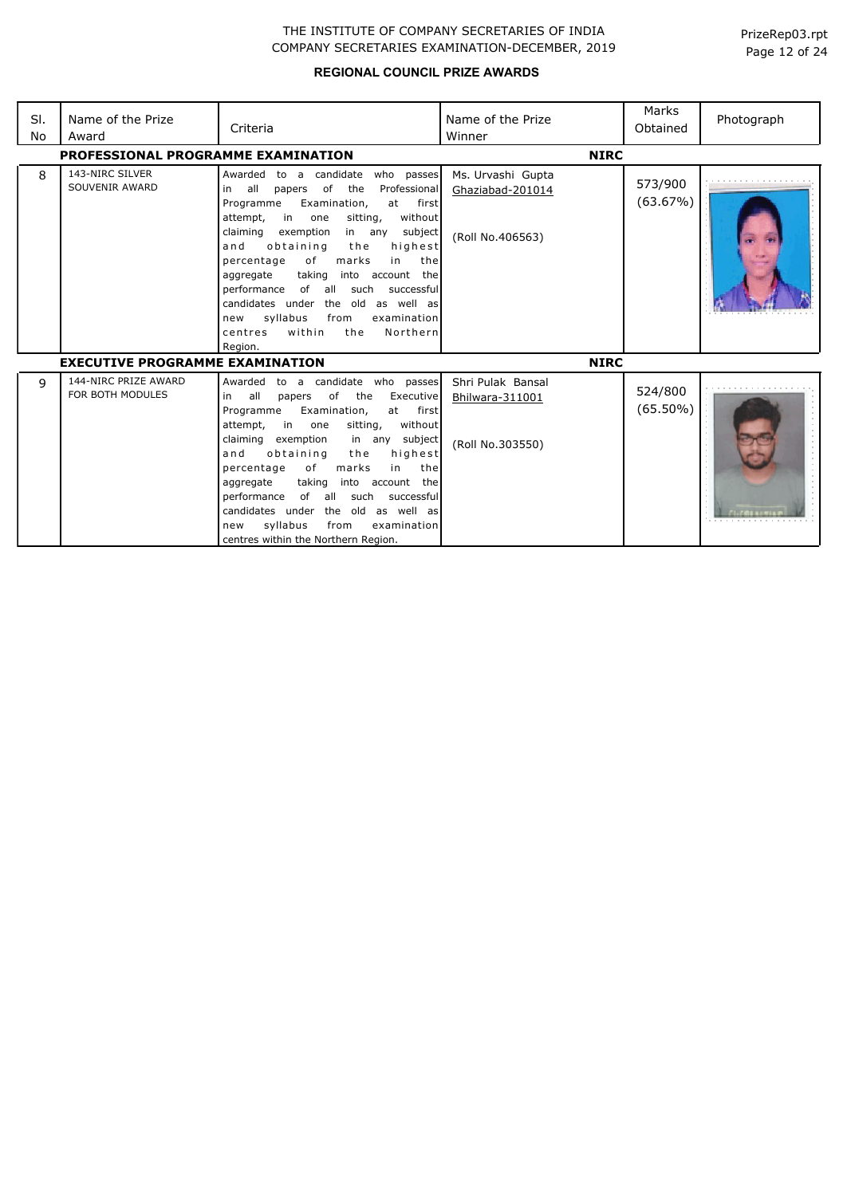| SI.<br>No | Name of the Prize<br>Award               | Criteria                                                                                                                                                                                                                                                                                                                                                                                                                                                                                                                                               | Name of the Prize<br>Winner                               | Marks<br>Obtained      | Photograph |
|-----------|------------------------------------------|--------------------------------------------------------------------------------------------------------------------------------------------------------------------------------------------------------------------------------------------------------------------------------------------------------------------------------------------------------------------------------------------------------------------------------------------------------------------------------------------------------------------------------------------------------|-----------------------------------------------------------|------------------------|------------|
|           | PROFESSIONAL PROGRAMME EXAMINATION       |                                                                                                                                                                                                                                                                                                                                                                                                                                                                                                                                                        | <b>NIRC</b>                                               |                        |            |
| 8         | 143-NIRC SILVER<br>SOUVENIR AWARD        | Awarded<br>to a candidate<br>who passes<br>of<br>the<br>Professional<br>all<br>papers<br>in<br>Examination,<br>first<br>Programme<br>at<br>in<br>sitting,<br>without<br>attempt,<br>one<br>claiming<br>exemption<br>in any<br>subject<br>and<br>obtaining<br>the<br>highest<br>marks<br>percentage<br>of<br>in<br>the<br>into account the<br>aggregate<br>taking<br>performance<br>of all<br>such<br>successful<br>candidates under<br>the old as well as<br>syllabus<br>from<br>examination<br>new<br>within<br>the<br>Northern<br>centres<br>Region. | Ms. Urvashi Gupta<br>Ghaziabad-201014<br>(Roll No.406563) | 573/900<br>(63.67%)    |            |
|           | <b>EXECUTIVE PROGRAMME EXAMINATION</b>   |                                                                                                                                                                                                                                                                                                                                                                                                                                                                                                                                                        | <b>NIRC</b>                                               |                        |            |
| 9         | 144-NIRC PRIZE AWARD<br>FOR BOTH MODULES | to a candidate who passes<br>Awarded<br>all<br>of<br>the<br>Executive<br>in<br>papers<br>Programme<br>Examination,<br>first<br>at<br>attempt,<br>in in<br>without<br>one<br>sitting,<br>claiming<br>exemption<br>subject<br>in any<br>and<br>obtaining<br>the<br>highest<br>of<br>marks<br>the<br>percentage<br>in<br>aggregate<br>taking<br>into account the<br>performance<br>of all such<br>successful<br>candidates under<br>the<br>old as well as<br>syllabus<br>from<br>examination<br>new<br>centres within the Northern Region.                | Shri Pulak Bansal<br>Bhilwara-311001<br>(Roll No.303550)  | 524/800<br>$(65.50\%)$ |            |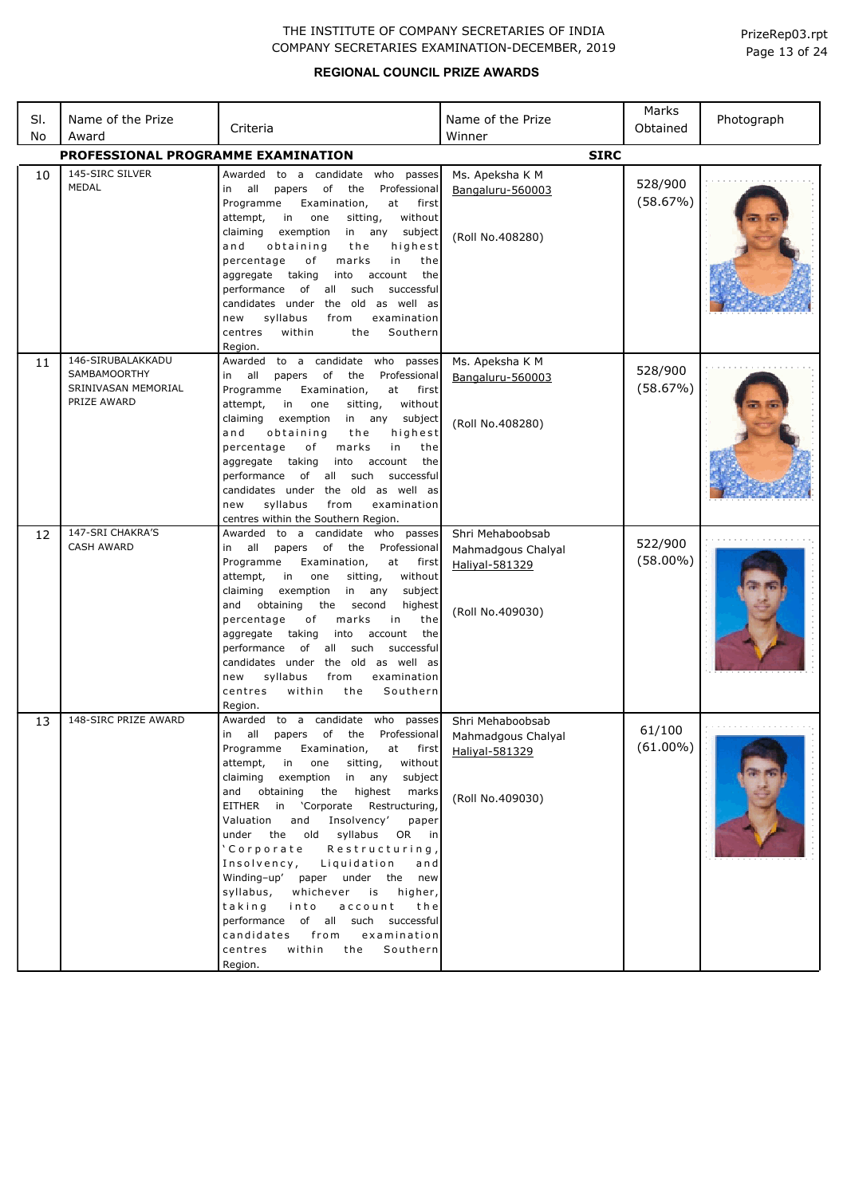| SI.<br>No | Name of the Prize<br>Award                                                     | Criteria                                                                                                                                                                                                                                                                                                                                                                                                                                                                                                                                                                                                                                                      | Name of the Prize<br>Winner                                                  | Marks<br>Obtained      | Photograph |
|-----------|--------------------------------------------------------------------------------|---------------------------------------------------------------------------------------------------------------------------------------------------------------------------------------------------------------------------------------------------------------------------------------------------------------------------------------------------------------------------------------------------------------------------------------------------------------------------------------------------------------------------------------------------------------------------------------------------------------------------------------------------------------|------------------------------------------------------------------------------|------------------------|------------|
|           | PROFESSIONAL PROGRAMME EXAMINATION                                             |                                                                                                                                                                                                                                                                                                                                                                                                                                                                                                                                                                                                                                                               | <b>SIRC</b>                                                                  |                        |            |
| 10        | 145-SIRC SILVER<br>MEDAL                                                       | Awarded to a candidate who passes<br>in all papers of the<br>Professional<br>Programme<br>Examination,<br>at<br>first<br>attempt,<br>in<br>one<br>sitting,<br>without<br>claiming<br>exemption<br>in any subject<br>highest<br>a n d<br>obtaining<br>the<br>percentage<br>of<br>marks<br>in<br>the<br>aggregate taking<br>into account<br>the<br>performance of all such<br>successful<br>candidates under the old as well as<br>syllabus<br>examination<br>from<br>new<br>within<br>Southern<br>centres<br>the<br>Region.                                                                                                                                    | Ms. Apeksha K M<br>Bangaluru-560003<br>(Roll No.408280)                      | 528/900<br>(58.67%)    |            |
| 11        | 146-SIRUBALAKKADU<br><b>SAMBAMOORTHY</b><br>SRINIVASAN MEMORIAL<br>PRIZE AWARD | Awarded to a candidate who passes<br>papers of the<br>Professional<br>in all<br>Programme<br>at<br>Examination,<br>first<br>attempt,<br>in l<br>one<br>sitting,<br>without<br>claiming<br>exemption<br>in any subject<br>obtaining<br>highest<br>a n d<br>the<br>percentage<br>of<br>marks<br>in<br>the<br>aggregate taking<br>into account<br>the<br>performance of all such<br>successful<br>candidates under the old as well as<br>syllabus<br>new<br>from<br>examination<br>centres within the Southern Region.                                                                                                                                           | Ms. Apeksha K M<br>Bangaluru-560003<br>(Roll No.408280)                      | 528/900<br>(58.67%)    |            |
| 12        | 147-SRI CHAKRA'S<br><b>CASH AWARD</b>                                          | Awarded to a candidate who passes<br>in all papers of the Professional<br>Programme<br>Examination,<br>at<br>first<br>attempt,<br>in<br>one<br>sitting,<br>without<br>claiming<br>exemption<br>in any<br>subject<br>and<br>obtaining<br>the second<br>highest<br>percentage<br>of<br>marks<br>in<br>the<br>aggregate taking<br>into account<br>the<br>performance of all such<br>successful<br>candidates under the old as well as<br>syllabus<br>from<br>examination<br>new<br>within<br>centres<br>the<br>Southern<br>Region.                                                                                                                               | Shri Mehaboobsab<br>Mahmadgous Chalyal<br>Haliyal-581329<br>(Roll No.409030) | 522/900<br>$(58.00\%)$ |            |
| 13        | 148-SIRC PRIZE AWARD                                                           | Awarded to a candidate who<br>passes<br>in all papers of the Professional<br>Programme<br>Examination,<br>at first<br>attempt, in one<br>sitting,<br>without<br>claiming exemption in any<br>subject<br>the highest<br>and obtaining<br>marks<br>EITHER in 'Corporate Restructuring,<br>Valuation<br>and Insolvency'<br>paper<br>under the old syllabus OR in<br>'Corporate Restructuring,<br>Insolvency, Liquidation<br>and<br>Winding-up' paper under the new<br>syllabus, whichever is<br>higher,<br>taking into<br>account<br>the<br>performance of all such successful<br>candidates from<br>examination<br>centres<br>within the<br>Southern<br>Region. | Shri Mehaboobsab<br>Mahmadgous Chalyal<br>Haliyal-581329<br>(Roll No.409030) | 61/100<br>$(61.00\%)$  |            |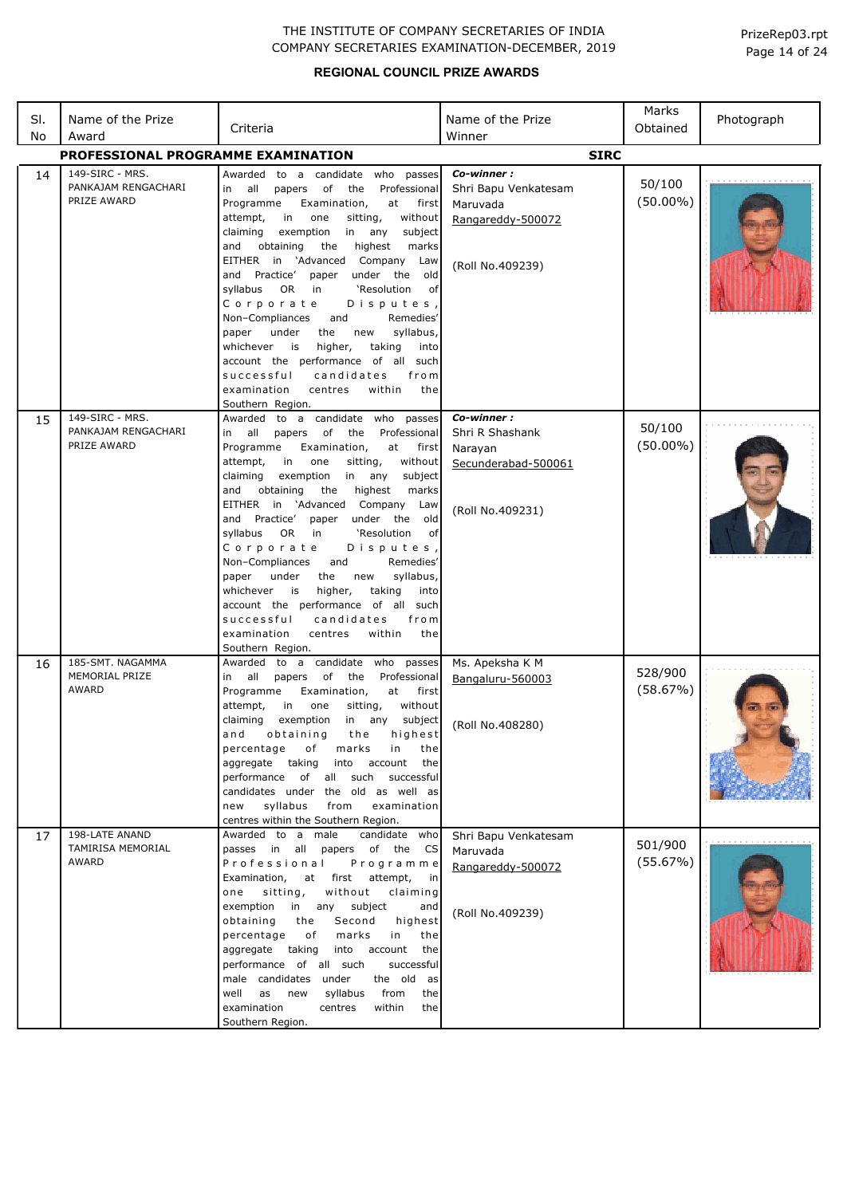| SI.<br>No | Name of the Prize<br>Award                            | Criteria                                                                                                                                                                                                                                                                                                                                                                                                                                                                                                                                                                                                                                                                                              | Name of the Prize<br>Winner                                                             | Marks<br>Obtained     | Photograph |
|-----------|-------------------------------------------------------|-------------------------------------------------------------------------------------------------------------------------------------------------------------------------------------------------------------------------------------------------------------------------------------------------------------------------------------------------------------------------------------------------------------------------------------------------------------------------------------------------------------------------------------------------------------------------------------------------------------------------------------------------------------------------------------------------------|-----------------------------------------------------------------------------------------|-----------------------|------------|
|           | PROFESSIONAL PROGRAMME EXAMINATION                    |                                                                                                                                                                                                                                                                                                                                                                                                                                                                                                                                                                                                                                                                                                       | <b>SIRC</b>                                                                             |                       |            |
| 14        | 149-SIRC - MRS.<br>PANKAJAM RENGACHARI<br>PRIZE AWARD | Awarded to a candidate who passes<br>all<br>papers of<br>the<br>Professional<br>in<br>Programme<br>Examination,<br>at first<br>in<br>attempt,<br>one<br>sitting,<br>without<br>in<br>claiming<br>exemption<br>any<br>subject<br>and<br>obtaining<br>the<br>highest<br>marks<br>EITHER in 'Advanced Company<br>Law<br>and Practice' paper under the old<br>syllabus OR in<br>'Resolution<br>of<br>Corporate<br>Disputes,<br>Remedies'<br>Non-Compliances<br>and<br>under<br>syllabus,<br>paper<br>the<br>new<br>whichever<br>is<br>higher,<br>taking<br>into<br>account the performance of all such<br>candidates<br>successful<br>from<br>examination<br>centres<br>within<br>the<br>Southern Region. | Co-winner:<br>Shri Bapu Venkatesam<br>Maruvada<br>Rangareddy-500072<br>(Roll No.409239) | 50/100<br>$(50.00\%)$ |            |
| 15        | 149-SIRC - MRS.<br>PANKAJAM RENGACHARI<br>PRIZE AWARD | Awarded to a candidate who passes<br>papers of the Professional<br>in all<br>Programme<br>Examination,<br>at first<br>in<br>attempt,<br>one<br>sitting,<br>without<br>claiming<br>exemption<br>in any<br>subject<br>obtaining<br>the<br>and<br>highest<br>marks<br>EITHER in 'Advanced Company Law<br>and Practice' paper under the old<br>syllabus OR in<br>'Resolution<br>0f<br>Corporate<br>Disputes,<br>Non-Compliances<br>and<br>Remedies'<br>under<br>syllabus,<br>paper<br>the<br>new<br>taking<br>whichever<br>is<br>higher,<br>into<br>account the performance of all such<br>successful<br>candidates<br>from<br>examination<br>centres<br>within<br>the<br>Southern Region.                | Co-winner:<br>Shri R Shashank<br>Narayan<br>Secunderabad-500061<br>(Roll No.409231)     | 50/100<br>$(50.00\%)$ |            |
| 16        | 185-SMT, NAGAMMA<br>MEMORIAL PRIZE<br>AWARD           | Awarded to a candidate who passes<br>in all papers of the<br>Professional<br>Programme<br>Examination,<br>at first<br>attempt,<br>in<br>sitting,<br>without<br>one<br>claiming<br>exemption<br>subject<br>in any<br>and<br>obtaining<br>the<br>highest<br>percentage<br>marks<br>оf<br>the<br>in<br>aggregate taking<br>into account<br>the<br>performance of all such<br>successful<br>candidates under the old as well as<br>syllabus<br>from<br>examination<br>new<br>centres within the Southern Region.                                                                                                                                                                                          | Ms. Apeksha K M<br>Bangaluru-560003<br>(Roll No.408280)                                 | 528/900<br>(58.67%)   |            |
| 17        | 198-LATE ANAND<br>TAMIRISA MEMORIAL<br>AWARD          | Awarded to a male<br>candidate who<br>passes in all<br>papers of the<br>CS<br>Professional<br>Programme<br>Examination,<br>at first attempt,<br>in<br>without<br>one<br>sitting,<br>claiming<br>exemption<br>in any<br>subject<br>and<br>Second<br>obtaining<br>the<br>highest<br>percentage<br>marks<br>in<br>оf<br>the<br>aggregate taking<br>into account<br>the<br>performance of all such<br>successful<br>male candidates under<br>the old as<br>well<br>from<br>as<br>new<br>syllabus<br>the<br>examination<br>centres<br>within<br>the<br>Southern Region.                                                                                                                                    | Shri Bapu Venkatesam<br>Maruvada<br>Rangareddy-500072<br>(Roll No.409239)               | 501/900<br>(55.67%)   |            |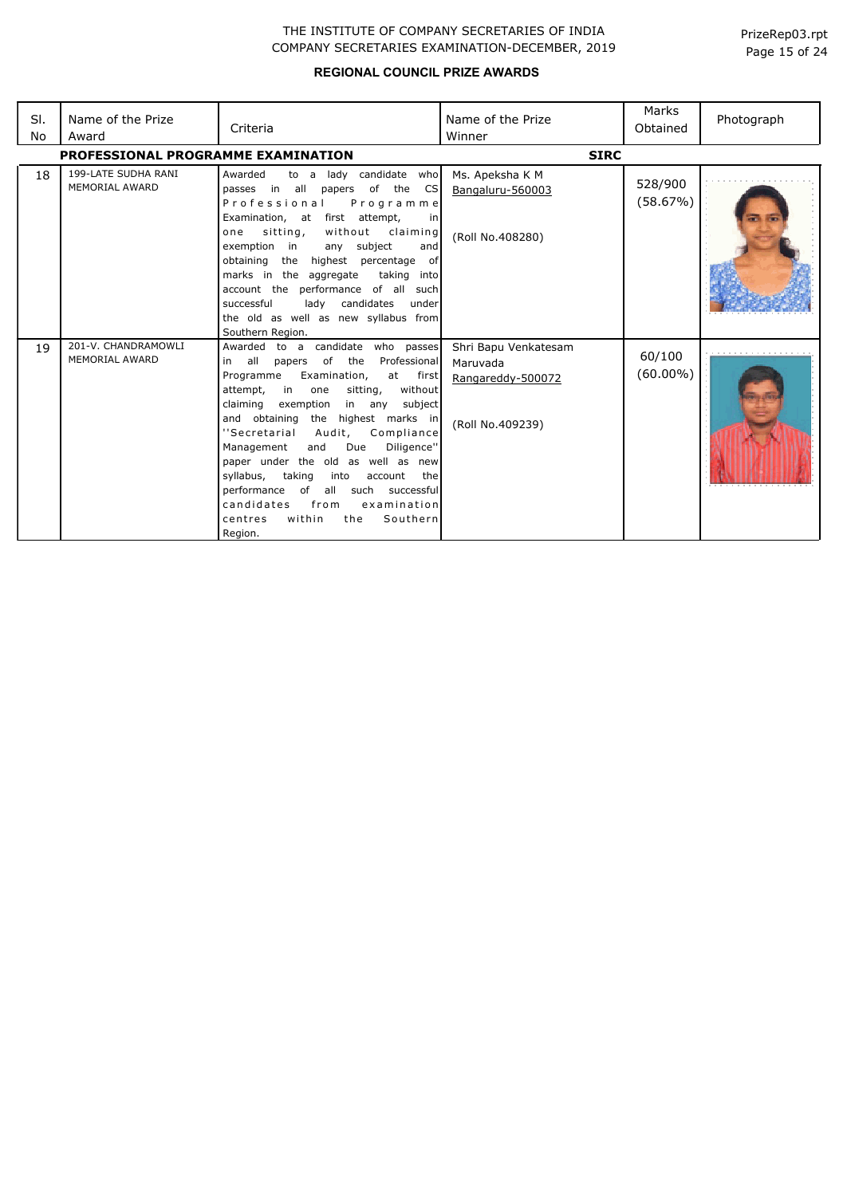| SI.<br>No | Name of the Prize<br>Award                   | Criteria                                                                                                                                                                                                                                                                                                                                                                                                                                                                                                                                                               | Name of the Prize<br>Winner                                               | Marks<br>Obtained     | Photograph |
|-----------|----------------------------------------------|------------------------------------------------------------------------------------------------------------------------------------------------------------------------------------------------------------------------------------------------------------------------------------------------------------------------------------------------------------------------------------------------------------------------------------------------------------------------------------------------------------------------------------------------------------------------|---------------------------------------------------------------------------|-----------------------|------------|
|           | <b>PROFESSIONAL PROGRAMME EXAMINATION</b>    |                                                                                                                                                                                                                                                                                                                                                                                                                                                                                                                                                                        | <b>SIRC</b>                                                               |                       |            |
| 18        | 199-LATE SUDHA RANI<br><b>MEMORIAL AWARD</b> | Awarded<br>lady candidate who<br>to a<br>passes in all<br>papers of the<br><b>CS</b><br>Professional<br>Programme<br>Examination, at first attempt,<br>in l<br>sitting,<br>without claiming<br>one<br>exemption in<br>any subject<br>and<br>the highest percentage of<br>obtaining<br>marks in the aggregate<br>taking into<br>account the performance of all such<br>lady candidates<br>successful<br>under<br>the old as well as new syllabus from<br>Southern Region.                                                                                               | Ms. Apeksha K M<br>Bangaluru-560003<br>(Roll No.408280)                   | 528/900<br>(58.67%)   |            |
| 19        | 201-V. CHANDRAMOWLI<br>MEMORIAL AWARD        | Awarded to a candidate who passes<br>of<br>in all<br>the<br>Professional<br>papers<br>Examination,<br>Programme<br>at first<br>without<br>attempt,<br>in<br>one<br>sitting,<br>claiming<br>exemption<br>in any<br>subject<br>the highest marks in<br>and obtaining<br>Compliance<br>"Secretarial<br>Audit,<br>and<br>Due<br>Diligence"<br>Management<br>paper under the old as well as new<br>syllabus, taking<br>into<br>account<br>the<br>performance of all such successful<br>from<br>candidates<br>examination<br>within<br>Southern<br>the<br>centres<br>Region. | Shri Bapu Venkatesam<br>Maruvada<br>Rangareddy-500072<br>(Roll No.409239) | 60/100<br>$(60.00\%)$ |            |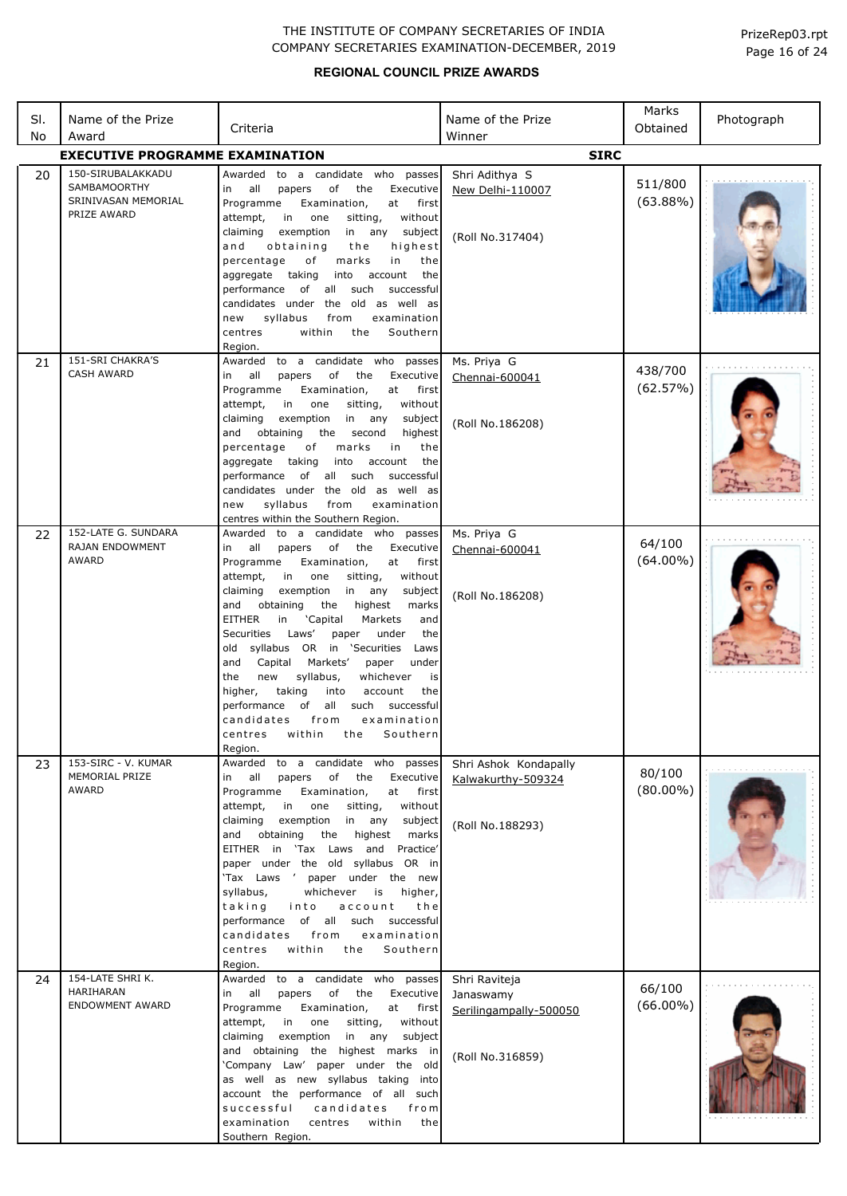| PrizeRep03.rpt |  |  |
|----------------|--|--|
| Page 16 of 24  |  |  |

| SI. | Name of the Prize                                       | Criteria                                                                                                                                                                                                                                                                                                                                                                                                                                                                                                                                                                                                                                                                  | Name of the Prize                                                        | Marks<br>Obtained      | Photograph |
|-----|---------------------------------------------------------|---------------------------------------------------------------------------------------------------------------------------------------------------------------------------------------------------------------------------------------------------------------------------------------------------------------------------------------------------------------------------------------------------------------------------------------------------------------------------------------------------------------------------------------------------------------------------------------------------------------------------------------------------------------------------|--------------------------------------------------------------------------|------------------------|------------|
| No  | Award<br><b>EXECUTIVE PROGRAMME EXAMINATION</b>         |                                                                                                                                                                                                                                                                                                                                                                                                                                                                                                                                                                                                                                                                           | Winner<br><b>SIRC</b>                                                    |                        |            |
|     | 150-SIRUBALAKKADU                                       | to a candidate who passes<br>Awarded                                                                                                                                                                                                                                                                                                                                                                                                                                                                                                                                                                                                                                      |                                                                          |                        |            |
| 20  | SAMBAMOORTHY<br>SRINIVASAN MEMORIAL<br>PRIZE AWARD      | all<br>of the<br>Executive<br>papers<br>in<br>Programme<br>Examination,<br>at<br>first<br>sitting,<br>without<br>attempt,<br>in<br>one<br>exemption<br>claiming<br>in any<br>subject<br>obtaining<br>highest<br>and<br>the<br>percentage<br>оf<br>marks<br>in<br>the<br>aggregate taking<br>into<br>account<br>the<br>performance<br>of<br>all<br>such<br>successful<br>candidates under the old as well as<br>syllabus<br>from<br>examination<br>new<br>Southern<br>centres<br>within<br>the<br>Region.                                                                                                                                                                  | Shri Adithya S<br>New Delhi-110007<br>(Roll No.317404)                   | 511/800<br>$(63.88\%)$ |            |
| 21  | 151-SRI CHAKRA'S<br><b>CASH AWARD</b>                   | to a candidate who passes<br>Awarded                                                                                                                                                                                                                                                                                                                                                                                                                                                                                                                                                                                                                                      | Ms. Priya G                                                              | 438/700                |            |
|     |                                                         | all<br>papers<br>of<br>the<br>Executive<br>in<br>Programme<br>Examination,<br>at<br>first<br>without<br>attempt,<br>in<br>one<br>sitting,<br>claiming<br>exemption<br>in any<br>subject<br>obtaining<br>highest<br>and<br>the<br>second<br>percentage<br>marks<br>in<br>the<br>оf<br>aggregate taking<br>into<br>account<br>the<br>performance<br>of<br>all<br>such<br>successful<br>candidates under the old as well as<br>syllabus<br>examination<br>new<br>from<br>centres within the Southern Region.                                                                                                                                                                 | Chennai-600041<br>(Roll No.186208)                                       | (62.57%)               |            |
| 22  | 152-LATE G. SUNDARA<br>RAJAN ENDOWMENT                  | to a candidate who passes<br>Awarded                                                                                                                                                                                                                                                                                                                                                                                                                                                                                                                                                                                                                                      | Ms. Priya G                                                              | 64/100                 |            |
|     | AWARD                                                   | all<br>of the<br>Executive<br>papers<br>in<br>at<br>first<br>Programme<br>Examination,<br>sitting,<br>attempt,<br>in<br>one<br>without<br>exemption<br>claiming<br>in<br>any<br>subject<br>obtaining<br>highest<br>and<br>the<br>marks<br><b>EITHER</b><br>'Capital<br>Markets<br>and<br>in<br>Securities Laws'<br>the<br>paper<br>under<br>old syllabus OR in 'Securities<br>Laws<br>and<br>Capital<br>Markets'<br>paper<br>under<br>the<br>syllabus,<br>new<br>whichever<br>is<br>taking<br>higher,<br>into<br>account<br>the<br>all<br>performance<br>of<br>such<br>successful<br>candidates<br>from<br>examination<br>within<br>Southern<br>the<br>centres<br>Region. | Chennai-600041<br>(Roll No.186208)                                       | $(64.00\%)$            |            |
| 23  | 153-SIRC - V. KUMAR<br>MEMORIAL PRIZE                   | to a candidate who passes<br>Awarded<br>all<br>of the<br>papers<br>Executive<br>in                                                                                                                                                                                                                                                                                                                                                                                                                                                                                                                                                                                        | Shri Ashok Kondapally<br>Kalwakurthy-509324                              | 80/100                 |            |
|     | AWARD                                                   | Programme<br>Examination,<br>at<br>first<br>attempt,<br>in<br>one<br>sitting,<br>without<br>claiming<br>exemption<br>in any<br>subject<br>obtaining<br>the<br>highest<br>and<br>marks<br>EITHER in 'Tax Laws and<br>Practice'<br>paper under the old syllabus OR in<br>'Tax Laws ' paper under the new<br>syllabus,<br>whichever<br>is<br>higher,<br>taking<br>into<br>account<br>the<br>of all such successful<br>performance<br>examination<br>candidates<br>from<br>within<br>centres<br>the<br>Southern<br>Region.                                                                                                                                                    | (Roll No.188293)                                                         | $(80.00\%)$            |            |
| 24  | 154-LATE SHRI K.<br>HARIHARAN<br><b>ENDOWMENT AWARD</b> | Awarded to a candidate who passes<br>of<br>in all<br>papers<br>the<br>Executive<br>Programme<br>Examination,<br>at first<br>attempt,<br>in<br>one<br>sitting,<br>without<br>exemption<br>in any subject<br>claiming<br>and obtaining the highest marks in<br>'Company Law' paper under the old<br>as well as new syllabus taking into<br>account the performance of all such<br>successful<br>candidates<br>from<br>within<br>examination<br>centres<br>the<br>Southern Region.                                                                                                                                                                                           | Shri Raviteja<br>Janaswamy<br>Serilingampally-500050<br>(Roll No.316859) | 66/100<br>$(66.00\%)$  |            |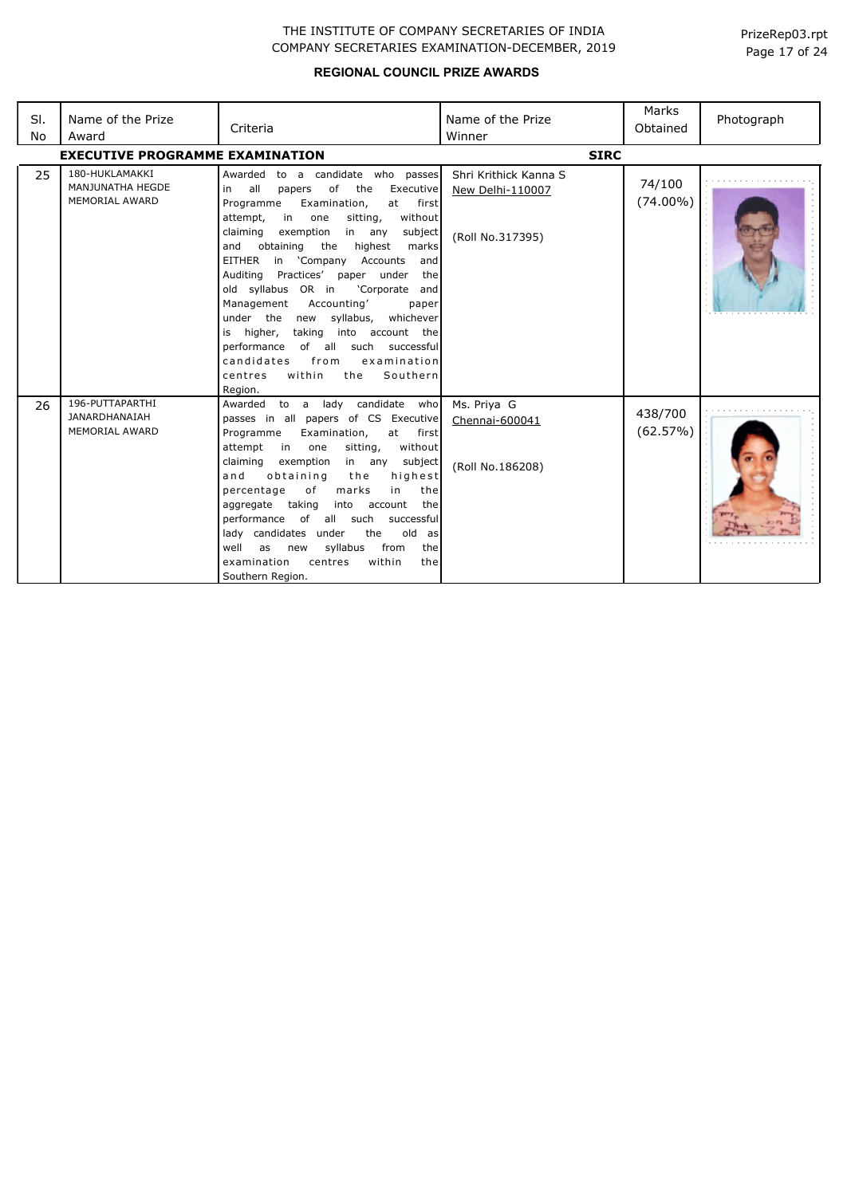| SI.<br>No | Name of the Prize<br>Award                                       | Criteria                                                                                                                                                                                                                                                                                                                                                                                                                                                                                                                                                                                                                                                          | Name of the Prize<br>Winner                                   | Marks<br>Obtained     | Photograph |
|-----------|------------------------------------------------------------------|-------------------------------------------------------------------------------------------------------------------------------------------------------------------------------------------------------------------------------------------------------------------------------------------------------------------------------------------------------------------------------------------------------------------------------------------------------------------------------------------------------------------------------------------------------------------------------------------------------------------------------------------------------------------|---------------------------------------------------------------|-----------------------|------------|
|           | <b>EXECUTIVE PROGRAMME EXAMINATION</b>                           |                                                                                                                                                                                                                                                                                                                                                                                                                                                                                                                                                                                                                                                                   | <b>SIRC</b>                                                   |                       |            |
| 25        | 180-HUKLAMAKKI<br>MANJUNATHA HEGDE<br><b>MEMORIAL AWARD</b>      | Awarded to a candidate who passes<br>all<br>of<br>the<br>Executive<br>in<br>papers<br>Programme<br>Examination,<br>at first<br>attempt,<br>in<br>sitting,<br>without<br>one<br>claiming<br>exemption<br>in<br>any<br>subject<br>and<br>obtaining<br>the<br>highest<br>marks<br>EITHER in 'Company Accounts<br>and<br>Practices' paper under<br>Auditing<br>the<br>old syllabus OR in<br>'Corporate and<br>Management<br>Accounting'<br>paper<br>under the new syllabus,<br>whichever<br>taking into account the<br>is higher,<br>of all such<br>performance<br>successful<br>candidates<br>from<br>examination<br>within<br>Southern<br>centres<br>the<br>Region. | Shri Krithick Kanna S<br>New Delhi-110007<br>(Roll No.317395) | 74/100<br>$(74.00\%)$ |            |
| 26        | 196-PUTTAPARTHI<br><b>JANARDHANAIAH</b><br><b>MEMORIAL AWARD</b> | to a lady candidate who<br>Awarded<br>passes in all papers of CS Executive<br>Programme<br>Examination,<br>at<br>first<br>without<br>attempt<br>in<br>sitting,<br>one<br>claiming<br>exemption<br>subject<br>in any<br>highest<br>obtaining<br>and<br>the<br>percentage<br>оf<br>marks<br>in<br>the<br>aggregate taking<br>into<br>account<br>the<br>performance of all such<br>successful<br>lady candidates under<br>old as<br>the<br>syllabus<br>from<br>well<br>the<br>as<br>new<br>within<br>examination<br>centres<br>the<br>Southern Region.                                                                                                               | Ms. Priya G<br>Chennai-600041<br>(Roll No.186208)             | 438/700<br>(62.57%)   |            |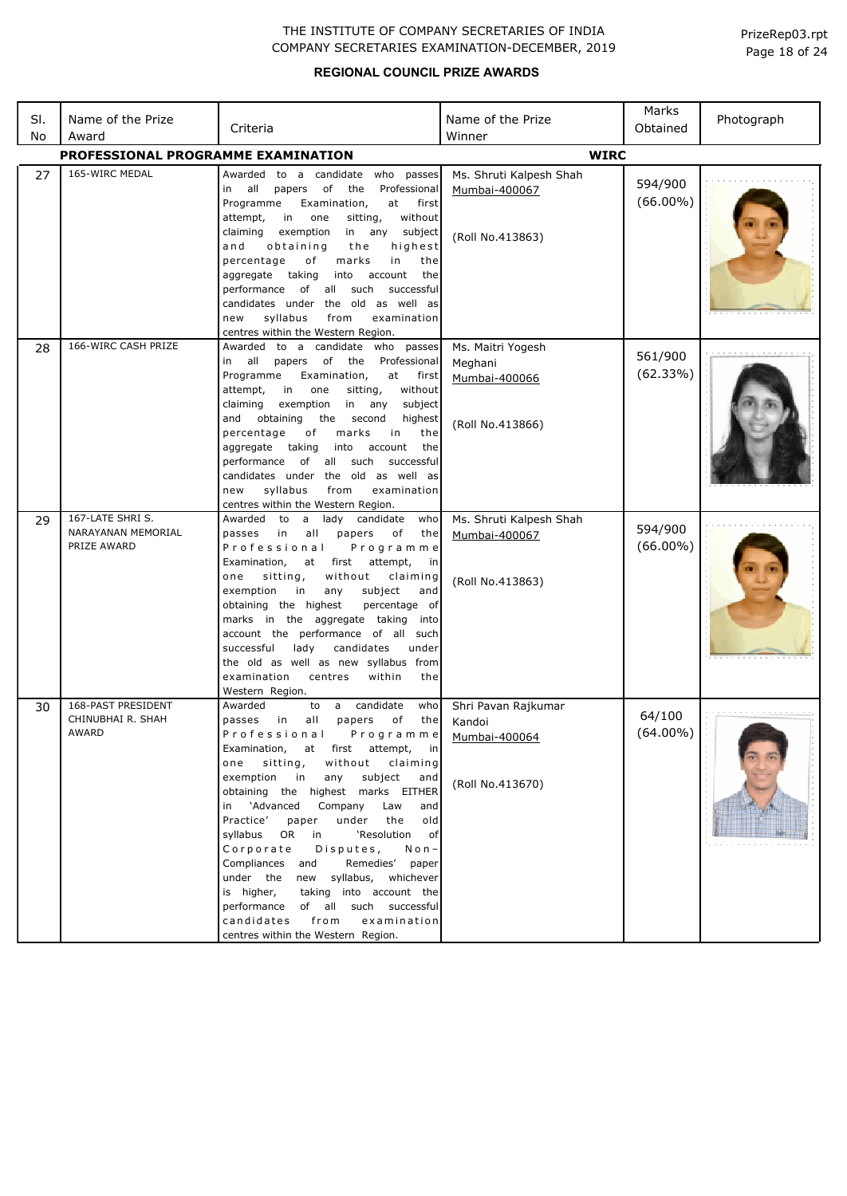| SI.<br>No | Name of the Prize<br>Award                       | Criteria                                                                                                                                                                                                                                                                                                                                                                                                                                                                                                                                                                                                                                                 | Name of the Prize<br>Winner                                                  | Marks<br>Obtained      | Photograph |
|-----------|--------------------------------------------------|----------------------------------------------------------------------------------------------------------------------------------------------------------------------------------------------------------------------------------------------------------------------------------------------------------------------------------------------------------------------------------------------------------------------------------------------------------------------------------------------------------------------------------------------------------------------------------------------------------------------------------------------------------|------------------------------------------------------------------------------|------------------------|------------|
|           | PROFESSIONAL PROGRAMME EXAMINATION               |                                                                                                                                                                                                                                                                                                                                                                                                                                                                                                                                                                                                                                                          | <b>WIRC</b>                                                                  |                        |            |
| 27        | 165-WIRC MEDAL                                   | Awarded<br>to a candidate who passes<br>all<br>$\circ$ of<br>the<br>Professional<br>papers<br>in<br>Programme<br>Examination,<br>at<br>first<br>one<br>without<br>attempt,<br>in<br>sitting,<br>exemption<br>claiming<br>in any<br>subject<br>obtaining<br>highest<br>a n d<br>the<br>percentage<br>of<br>marks<br>in<br>the<br>aggregate taking<br>into<br>account<br>the                                                                                                                                                                                                                                                                               | Ms. Shruti Kalpesh Shah<br>Mumbai-400067<br>(Roll No.413863)                 | 594/900<br>$(66.00\%)$ |            |
|           | 166-WIRC CASH PRIZE                              | performance<br>such<br>of all<br>successful<br>candidates under the old as well as<br>syllabus<br>from<br>examination<br>new<br>centres within the Western Region.                                                                                                                                                                                                                                                                                                                                                                                                                                                                                       |                                                                              |                        |            |
| 28        |                                                  | Awarded to a candidate who passes<br>papers of the<br>Professional<br>in all<br>Programme<br>Examination,<br>at first<br>attempt,<br>in<br>one<br>sitting,<br>without<br>claiming<br>exemption<br>in<br>subject<br>any<br>and<br>obtaining<br>the<br>second<br>highest<br>percentage<br>marks<br>оf<br>in<br>the<br>aggregate taking<br>into<br>account<br>the<br>of<br>all such<br>performance<br>successful<br>candidates under the old as well as                                                                                                                                                                                                     | Ms. Maitri Yogesh<br>Meghani<br>Mumbai-400066<br>(Roll No.413866)            | 561/900<br>(62.33%)    |            |
| 29        | 167-LATE SHRIS.<br>NARAYANAN MEMORIAL            | syllabus<br>from<br>examination<br>new<br>centres within the Western Region.<br>Awarded to<br>a<br>lady<br>candidate<br>who                                                                                                                                                                                                                                                                                                                                                                                                                                                                                                                              | Ms. Shruti Kalpesh Shah                                                      | 594/900                |            |
|           | PRIZE AWARD                                      | passes in<br>all<br>papers<br>of<br>the<br>Professional<br>Programme<br>Examination,<br>at<br>first<br>attempt,<br>in<br>sitting,<br>without<br>one<br>claiming<br>subject<br>exemption<br>in<br>any<br>and<br>obtaining the highest<br>percentage of<br>marks in the aggregate taking<br>into<br>account the performance of all such<br>lady<br>candidates<br>successful<br>under<br>the old as well as new syllabus from<br>examination<br>within<br>centres<br>the<br>Western Region.                                                                                                                                                                 | Mumbai-400067<br>(Roll No.413863)                                            | $(66.00\%)$            |            |
| 30        | 168-PAST PRESIDENT<br>CHINUBHAI R. SHAH<br>AWARD | a candidate<br>Awarded<br>to<br>who<br>in<br>all<br>of<br>passes<br>papers<br>the<br>Professional<br>Examination, at first attempt, in<br>without claiming<br>one sitting,<br>exemption in<br>any<br>subject<br>and<br>obtaining the highest marks EITHER<br>in 'Advanced<br>Company Law<br>and<br>under the<br>old<br>Practice'<br>paper<br>syllabus OR in<br>'Resolution of<br>Corporate<br>Disputes,<br>$N$ o n $-$<br>Compliances and<br>Remedies' paper<br>under the new syllabus, whichever<br>is higher,<br>taking into account the<br>performance of all such successful<br>candidates from<br>examination<br>centres within the Western Region. | Shri Pavan Rajkumar<br>Kandoi<br>Programme Mumbai-400064<br>(Roll No.413670) | 64/100<br>$(64.00\%)$  |            |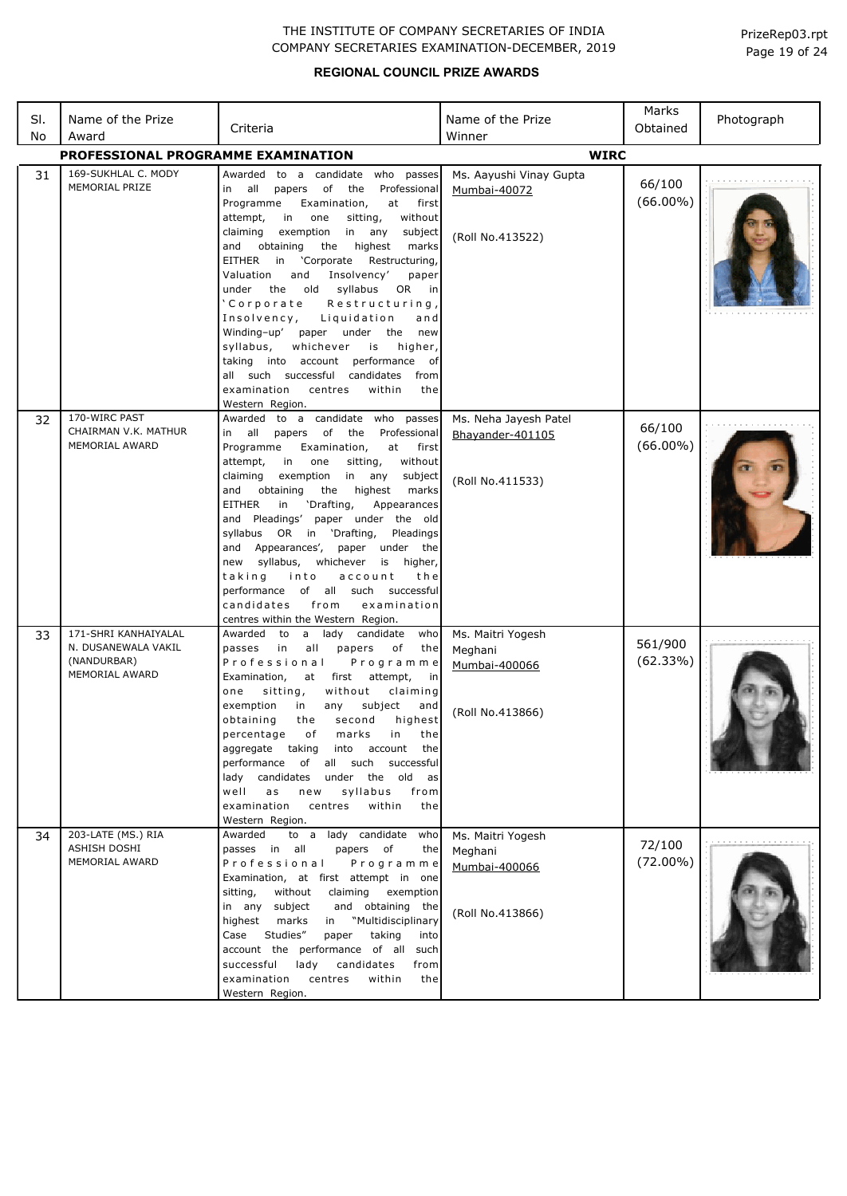| SI. | Name of the Prize                                                     | Criteria                                                                                                                                                                                                                                                                                                                                                                                                                                                                                                                                                                                                                                                                                                      | Name of the Prize                                                 | Marks<br>Obtained                | Photograph |
|-----|-----------------------------------------------------------------------|---------------------------------------------------------------------------------------------------------------------------------------------------------------------------------------------------------------------------------------------------------------------------------------------------------------------------------------------------------------------------------------------------------------------------------------------------------------------------------------------------------------------------------------------------------------------------------------------------------------------------------------------------------------------------------------------------------------|-------------------------------------------------------------------|----------------------------------|------------|
| No  | Award<br>PROFESSIONAL PROGRAMME EXAMINATION                           |                                                                                                                                                                                                                                                                                                                                                                                                                                                                                                                                                                                                                                                                                                               | Winner<br><b>WIRC</b>                                             |                                  |            |
|     |                                                                       |                                                                                                                                                                                                                                                                                                                                                                                                                                                                                                                                                                                                                                                                                                               |                                                                   |                                  |            |
| 31  | 169-SUKHLAL C. MODY<br>MEMORIAL PRIZE                                 | Awarded to a candidate who passes<br>of<br>Professional<br>all<br>papers<br>the<br>in<br>Programme<br>Examination,<br>at<br>first<br>without<br>attempt,<br>in<br>one<br>sitting,<br>claiming<br>exemption<br>in<br>any<br>subject<br>highest<br>and<br>obtaining<br>the<br>marks<br>'Corporate<br>EITHER<br>in<br>Restructuring,<br>Valuation<br>and<br>Insolvency'<br>paper<br>the old<br>syllabus<br>OR<br>under<br>in<br>'Corporate<br>Restructuring,<br>Insolvency,<br>Liquidation<br>and<br>Winding-up'<br>paper under the<br>new<br>syllabus,<br>whichever<br>is<br>higher,<br>taking into account performance of<br>all such successful candidates<br>from<br>within<br>examination<br>centres<br>the | Ms. Aayushi Vinay Gupta<br>Mumbai-40072<br>(Roll No.413522)       | 66/100<br>$(66.00\%)$            |            |
| 32  | 170-WIRC PAST                                                         | Western Region.<br>Awarded to a candidate who passes                                                                                                                                                                                                                                                                                                                                                                                                                                                                                                                                                                                                                                                          | Ms. Neha Jayesh Patel                                             |                                  |            |
| 33  | CHAIRMAN V.K. MATHUR<br><b>MEMORIAL AWARD</b><br>171-SHRI KANHAIYALAL | all<br>of<br>in<br>papers<br>the<br>Professional<br>Examination,<br>Programme<br>at<br>first<br>without<br>attempt,<br>in<br>one<br>sitting,<br>claiming<br>exemption<br>in<br>any<br>subject<br>highest<br>and<br>obtaining<br>the<br>marks<br><b>EITHER</b><br>'Drafting,<br>in<br>Appearances<br>and Pleadings'<br>paper under the old<br>syllabus OR in 'Drafting,<br>Pleadings<br>Appearances',<br>paper<br>under the<br>and<br>new syllabus,<br>whichever<br>is higher,<br>taking<br>into<br>account<br>the<br>performance of all such successful<br>examination<br>candidates<br>from<br>centres within the Western Region.<br>Awarded to<br>a lady<br>candidate<br>who                                | Bhayander-401105<br>(Roll No.411533)<br>Ms. Maitri Yogesh         | 66/100<br>$(66.00\%)$<br>561/900 |            |
|     | N. DUSANEWALA VAKIL<br>(NANDURBAR)<br>MEMORIAL AWARD                  | in<br>all<br>papers<br>the<br>passes<br>оf<br>Professional<br>Programme<br>Examination,<br>at<br>first<br>attempt,<br>in<br>one<br>sitting,<br>without<br>claiming<br>exemption<br>subject<br>in<br>any<br>and<br>obtaining<br>highest<br>the<br>second<br>of<br>marks<br>in<br>the<br>percentage<br>aggregate taking<br>into account<br>the<br>performance of all such successful<br>lady candidates<br>under<br>the<br>old<br>as<br>well<br>syllabus<br>as<br>from<br>new<br>examination<br>centres<br>within<br>the<br>Western Region.                                                                                                                                                                     | Meghani<br>Mumbai-400066<br>(Roll No.413866)                      | (62.33%)                         |            |
| 34  | 203-LATE (MS.) RIA<br>ASHISH DOSHI<br><b>MEMORIAL AWARD</b>           | to a lady candidate who<br>Awarded<br>passes in all<br>papers of<br>the<br>Professional<br>Programme<br>Examination, at first attempt in one<br>without<br>sitting,<br>claiming<br>exemption<br>subject<br>and obtaining the<br>in any<br>"Multidisciplinary<br>highest<br>marks<br>in<br>Studies"<br>Case<br>taking<br>paper<br>into<br>account the performance of all such<br>successful<br>lady<br>candidates<br>from<br>examination<br>centres<br>within<br>the<br>Western Region.                                                                                                                                                                                                                        | Ms. Maitri Yogesh<br>Meghani<br>Mumbai-400066<br>(Roll No.413866) | 72/100<br>$(72.00\%)$            |            |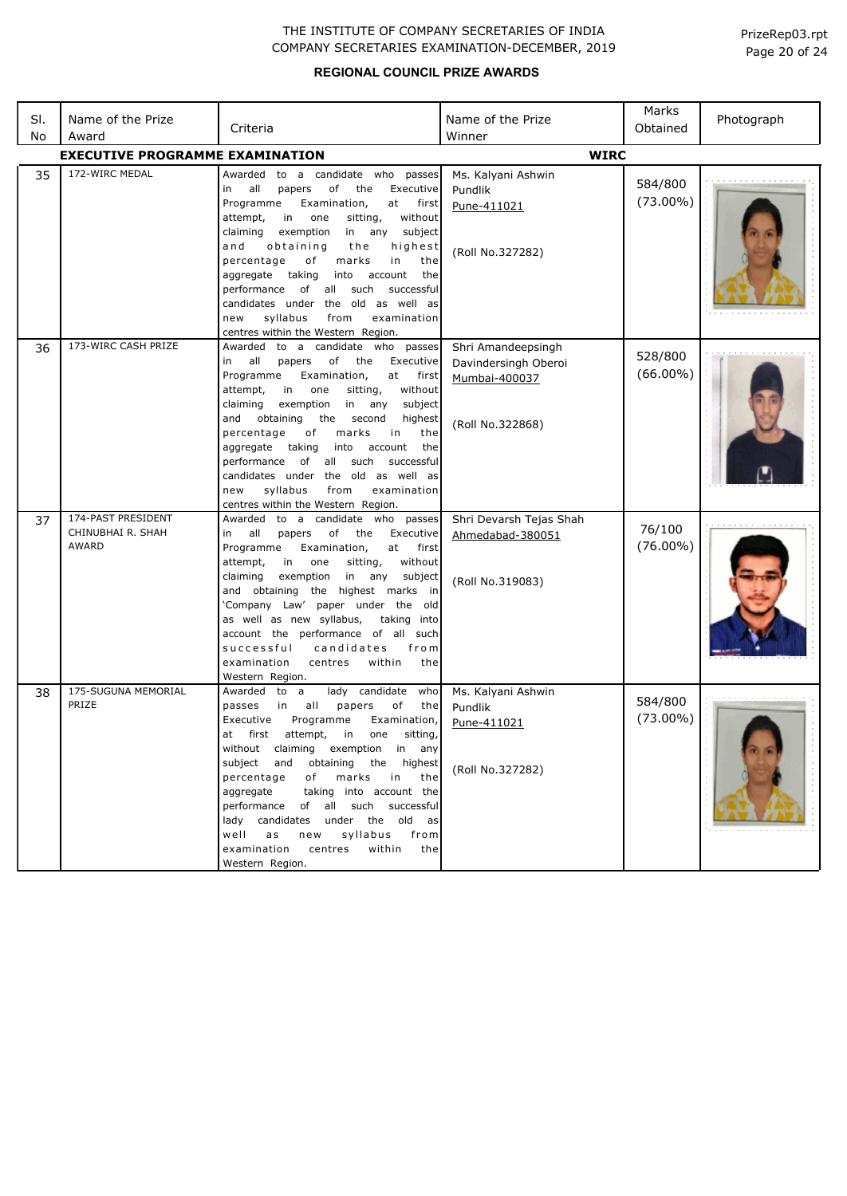| SI.<br>No | Name of the Prize<br>Award                       | Criteria                                                                                                                                                                                                                                                                                                                                                                                                                                                                                                                          | Name of the Prize<br>Winner                                                     | Marks<br>Obtained      | Photograph |
|-----------|--------------------------------------------------|-----------------------------------------------------------------------------------------------------------------------------------------------------------------------------------------------------------------------------------------------------------------------------------------------------------------------------------------------------------------------------------------------------------------------------------------------------------------------------------------------------------------------------------|---------------------------------------------------------------------------------|------------------------|------------|
|           | <b>EXECUTIVE PROGRAMME EXAMINATION</b>           |                                                                                                                                                                                                                                                                                                                                                                                                                                                                                                                                   | <b>WIRC</b>                                                                     |                        |            |
| 35        | 172-WIRC MEDAL                                   | Awarded<br>to a candidate who passes<br>of<br>Executive<br>all<br>the<br>in<br>papers<br>Programme<br>Examination,<br>at first<br>attempt,<br>in<br>one<br>sitting,<br>without<br>in any<br>claiming<br>exemption<br>subject<br>and<br>obtaining<br>the<br>highest<br>percentage<br>of<br>marks<br>in<br>the<br>aggregate taking<br>into<br>account<br>the<br>performance of all such<br>successful<br>candidates under the old as well as<br>syllabus<br>from<br>examination<br>new<br>centres within the Western Region.        | Ms. Kalyani Ashwin<br>Pundlik<br>Pune-411021<br>(Roll No.327282)                | 584/800<br>$(73.00\%)$ |            |
| 36        | 173-WIRC CASH PRIZE                              | Awarded to a candidate who passes<br>of<br>all<br>papers<br>the<br>Executive<br>in<br>Programme<br>Examination,<br>at first<br>attempt,<br>in<br>one<br>sitting,<br>without<br>claiming<br>exemption<br>in any<br>subject<br>and obtaining<br>the<br>second<br>highest<br>percentage<br>marks<br>the<br>оf<br>in<br>aggregate<br>taking<br>into<br>account<br>the<br>performance of all such<br>successful<br>candidates under the old as well as<br>syllabus<br>examination<br>new<br>from<br>centres within the Western Region. | Shri Amandeepsingh<br>Davindersingh Oberoi<br>Mumbai-400037<br>(Roll No.322868) | 528/800<br>$(66.00\%)$ |            |
| 37        | 174-PAST PRESIDENT<br>CHINUBHAI R. SHAH<br>AWARD | Awarded<br>to a candidate who passes<br>all<br>papers<br>of<br>the<br>Executive<br>in<br>Examination,<br>at<br>Programme<br>first<br>without<br>attempt,<br>in<br>one<br>sitting,<br>claiming<br>exemption<br>in any<br>subject<br>and obtaining the highest marks in<br>'Company Law' paper under the old<br>as well as new syllabus,<br>taking into<br>account the performance of all such<br>successful<br>candidates<br>from<br>centres<br>within<br>examination<br>the<br>Western Region.                                    | Shri Devarsh Tejas Shah<br>Ahmedabad-380051<br>(Roll No.319083)                 | 76/100<br>$(76.00\%)$  |            |
| 38        | 175-SUGUNA MEMORIAL<br>PRIZE                     | lady candidate<br>Awarded to a<br>who<br>all<br>papers<br>of<br>the<br>passes<br>in<br>Executive<br>Programme<br>Examination,<br>attempt,<br>sitting,<br>at<br>first<br>in<br>one<br>without claiming exemption in any<br>subject<br>and obtaining the highest<br>of<br>marks in<br>percentage<br>the<br>taking into account the<br>aggregate<br>performance of all such successful<br>lady candidates under the old as<br>syllabus<br>well<br>as<br>new<br>from<br>within<br>examination<br>centres<br>the<br>Western Region.    | Ms. Kalyani Ashwin<br>Pundlik<br>Pune-411021<br>(Roll No.327282)                | 584/800<br>$(73.00\%)$ |            |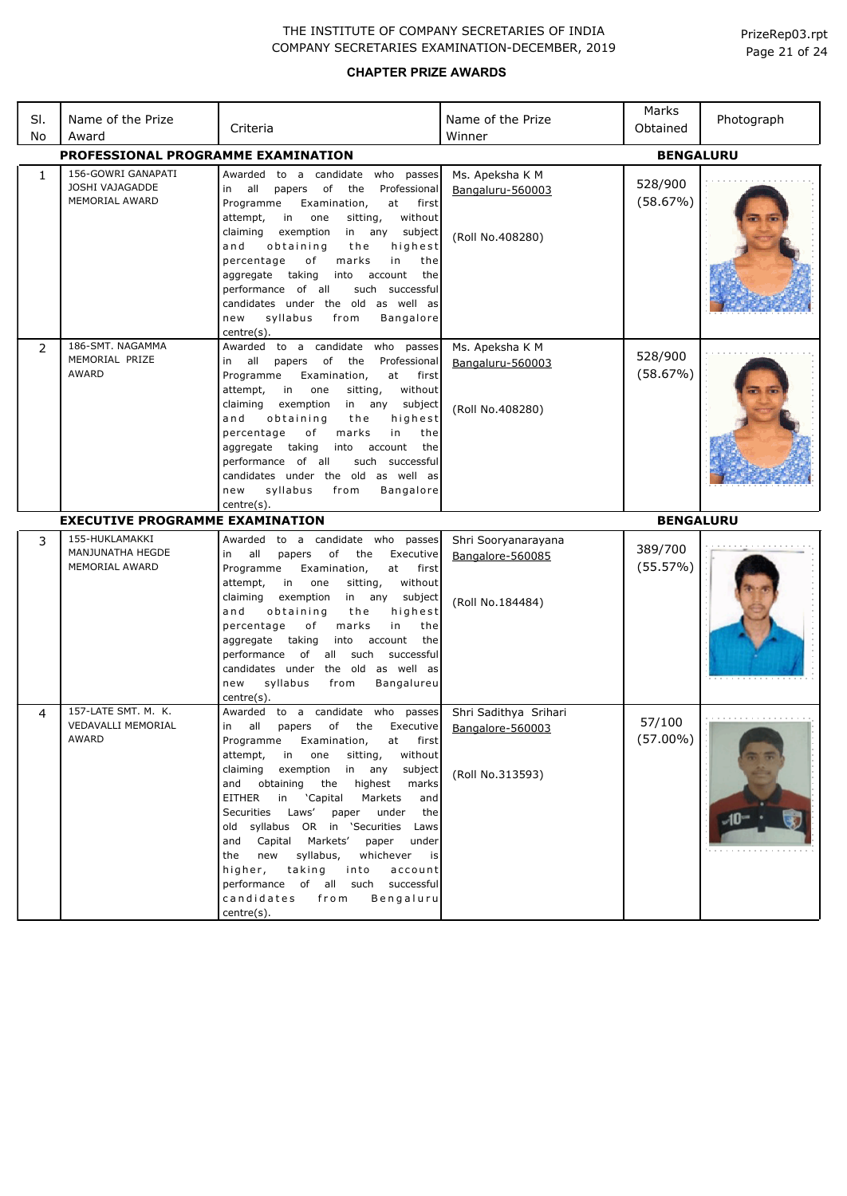| SI.          | Name of the Prize                                       | Criteria                                                                                                                                                                                                                                                                                                                                                                                                                                                                                                         | Name of the Prize                                       | Marks<br>Obtained   | Photograph |
|--------------|---------------------------------------------------------|------------------------------------------------------------------------------------------------------------------------------------------------------------------------------------------------------------------------------------------------------------------------------------------------------------------------------------------------------------------------------------------------------------------------------------------------------------------------------------------------------------------|---------------------------------------------------------|---------------------|------------|
| No           | Award                                                   |                                                                                                                                                                                                                                                                                                                                                                                                                                                                                                                  | Winner                                                  |                     |            |
|              | PROFESSIONAL PROGRAMME EXAMINATION                      |                                                                                                                                                                                                                                                                                                                                                                                                                                                                                                                  |                                                         | <b>BENGALURU</b>    |            |
| $\mathbf{1}$ | 156-GOWRI GANAPATI<br>JOSHI VAJAGADDE<br>MEMORIAL AWARD | Awarded<br>to a candidate who passes<br>all<br>papers<br>of<br>the<br>Professional<br>in<br>Programme<br>Examination,<br>at<br>first<br>in<br>without<br>attempt,<br>one<br>sitting,<br>claiming<br>exemption<br>subject<br>in any<br>obtaining<br>highest<br>and<br>the<br>percentage<br>of<br>marks<br>in<br>the<br>taking<br>account<br>aggregate<br>into<br>the<br>performance of all<br>such successful<br>candidates under the old as well as<br>new<br>syllabus<br>from<br><b>Bangalore</b><br>centre(s). | Ms. Apeksha K M<br>Bangaluru-560003<br>(Roll No.408280) | 528/900<br>(58.67%) |            |
| 2            | 186-SMT, NAGAMMA<br>MEMORIAL PRIZE<br><b>AWARD</b>      | Awarded to a candidate who passes<br>of<br>all<br>papers<br>the<br>Professional<br>in<br>Programme<br>Examination,<br>at<br>first<br>attempt,<br>without<br>in<br>one<br>sitting,<br>claiming<br>exemption<br>in any subject<br>and<br>obtaining<br>highest<br>the<br>percentage<br>оf<br>marks<br>in<br>the<br>taking<br>account<br>the<br>aggregate<br>into<br>performance of all<br>such successful<br>candidates under the old as well as<br>syllabus<br>Bangalore<br>new<br>from<br>centre(s).              | Ms. Apeksha K M<br>Bangaluru-560003<br>(Roll No.408280) | 528/900<br>(58.67%) |            |
|              | <b>EXECUTIVE PROGRAMME EXAMINATION</b>                  |                                                                                                                                                                                                                                                                                                                                                                                                                                                                                                                  |                                                         | <b>BENGALURU</b>    |            |
| 3            | 155-HUKLAMAKKI<br>MANJUNATHA HEGDE<br>MEMORIAL AWARD    | Awarded to a candidate who<br>passes<br>all<br>of<br>in<br>papers<br>the<br>Executive<br>Programme<br>Examination,<br>at<br>first                                                                                                                                                                                                                                                                                                                                                                                | Shri Sooryanarayana<br>Bangalore-560085                 | 389/700             |            |
| 4            | 157-LATE SMT. M. K.                                     | without<br>attempt,<br>in<br>one<br>sitting,<br>claiming<br>exemption<br>in any<br>subject<br>highest<br>and<br>obtaining<br>the<br>percentage<br>of<br>in<br>the<br>marks<br>taking<br>account<br>aggregate<br>into<br>the<br>performance<br>of<br>all<br>such<br>successful<br>candidates under the old as well as<br>syllabus<br>from<br>Bangalureu<br>new<br>centre(s).<br>candidate<br>Awarded<br>to a<br>who<br>passes                                                                                     | (Roll No.184484)<br>Shri Sadithya Srihari               | (55.57%)            |            |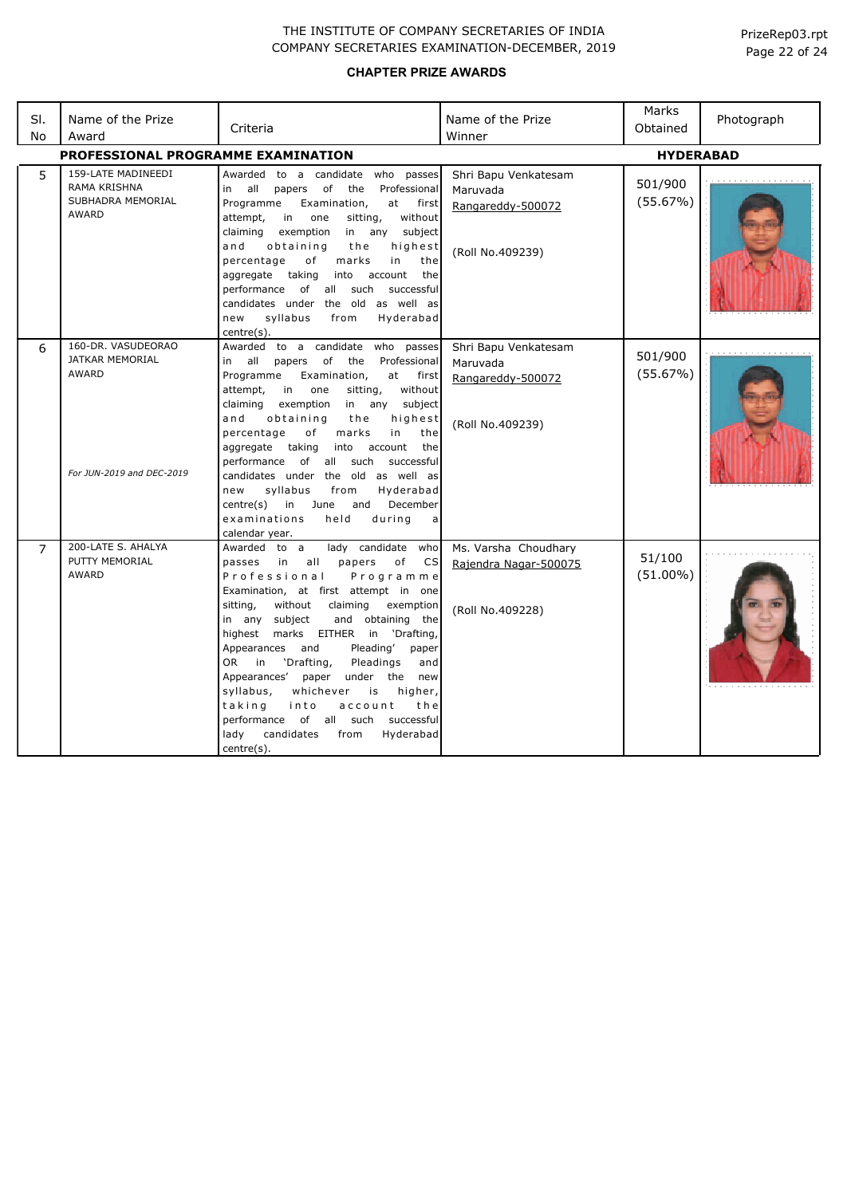| SI.<br>No      | Name of the Prize<br>Award                                                                | Criteria                                                                                                                                                                                                                                                                                                                                                                                                                                                                                                                                                                                               | Name of the Prize<br>Winner                                               | Marks<br>Obtained     | Photograph |
|----------------|-------------------------------------------------------------------------------------------|--------------------------------------------------------------------------------------------------------------------------------------------------------------------------------------------------------------------------------------------------------------------------------------------------------------------------------------------------------------------------------------------------------------------------------------------------------------------------------------------------------------------------------------------------------------------------------------------------------|---------------------------------------------------------------------------|-----------------------|------------|
|                | PROFESSIONAL PROGRAMME EXAMINATION                                                        | <b>HYDERABAD</b>                                                                                                                                                                                                                                                                                                                                                                                                                                                                                                                                                                                       |                                                                           |                       |            |
| 5              | 159-LATE MADINEEDI<br><b>RAMA KRISHNA</b><br>SUBHADRA MEMORIAL<br><b>AWARD</b>            | Awarded to a candidate who passes<br>of<br>Professional<br>in all<br>papers<br>the<br>Programme<br>Examination,<br>at<br>first<br>attempt,<br>in<br>one<br>sitting,<br>without<br>claiming<br>exemption<br>in any subject<br>and<br>obtaining<br>the<br>highest<br>percentage<br>of<br>marks<br>in<br>the<br>aggregate taking<br>the<br>into account<br>performance of all such<br>successful<br>candidates under the old as well as<br>syllabus<br>from<br>Hyderabad<br>new<br>centre(s).                                                                                                             | Shri Bapu Venkatesam<br>Maruvada<br>Rangareddy-500072<br>(Roll No.409239) | 501/900<br>(55.67%)   |            |
| 6              | 160-DR. VASUDEORAO<br><b>JATKAR MEMORIAL</b><br><b>AWARD</b><br>For JUN-2019 and DEC-2019 | Awarded to a candidate who passes<br>in all papers of<br>the<br>Professional<br>Programme<br>Examination,<br>first<br>at<br>attempt,<br>in<br>one<br>sitting,<br>without<br>claiming<br>exemption<br>in any subject<br>and<br>obtaining<br>highest<br>the<br>in<br>percentage<br>of<br>marks<br>the<br>aggregate taking<br>into account<br>the<br>performance<br>of all such<br>successful<br>candidates under the old as well as<br>syllabus<br>Hyderabad<br>from<br>new<br>December<br>centre(s)<br>in<br>and<br>June<br>examinations<br>during<br>held<br>a<br>calendar year.                       | Shri Bapu Venkatesam<br>Maruvada<br>Rangareddy-500072<br>(Roll No.409239) | 501/900<br>(55.67%)   |            |
| $\overline{7}$ | 200-LATE S. AHALYA<br>PUTTY MEMORIAL<br><b>AWARD</b>                                      | lady candidate who<br>Awarded to a<br>passes in<br>all<br>papers<br>of<br><b>CS</b><br>Professional<br>Programme<br>Examination, at first attempt in one<br>sitting,<br>without<br>claiming<br>exemption<br>in any subject<br>and obtaining the<br>highest marks EITHER in<br>'Drafting,<br>Pleading'<br>Appearances and<br>paper<br>OR .<br>'Drafting,<br>Pleadings<br>in<br>and<br>Appearances'<br>paper under the new<br>whichever<br>syllabus,<br>is<br>higher,<br>taking<br>into<br>account<br>the<br>performance of all such successful<br>lady<br>candidates<br>Hyderabad<br>from<br>centre(s). | Ms. Varsha Choudhary<br>Rajendra Nagar-500075<br>(Roll No.409228)         | 51/100<br>$(51.00\%)$ |            |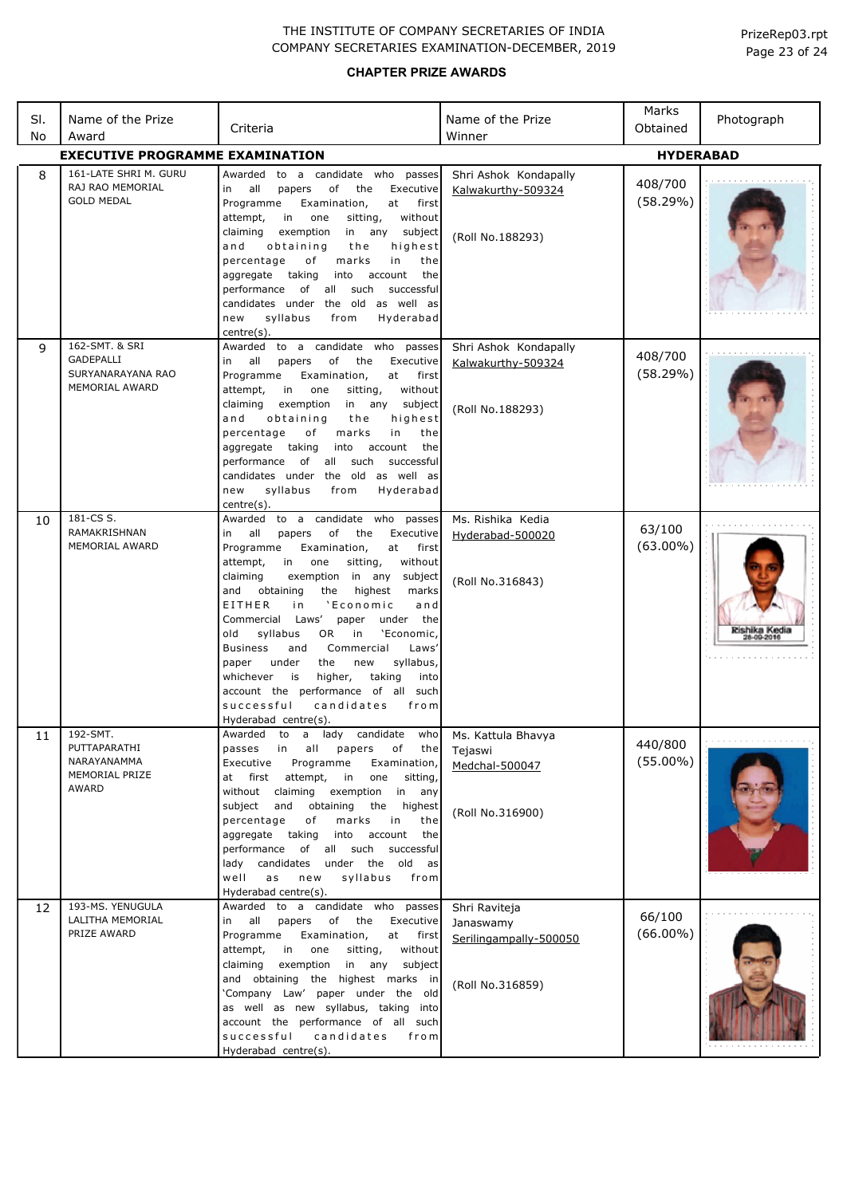| SI.<br>No | Name of the Prize<br>Award                                         | Criteria                                                                                                                                                                                                                                                                                                                                                                                                                                                                                                                                                                                                                                               | Name of the Prize<br>Winner                                              | Marks<br>Obtained      | Photograph    |  |  |
|-----------|--------------------------------------------------------------------|--------------------------------------------------------------------------------------------------------------------------------------------------------------------------------------------------------------------------------------------------------------------------------------------------------------------------------------------------------------------------------------------------------------------------------------------------------------------------------------------------------------------------------------------------------------------------------------------------------------------------------------------------------|--------------------------------------------------------------------------|------------------------|---------------|--|--|
|           | <b>EXECUTIVE PROGRAMME EXAMINATION</b><br><b>HYDERABAD</b>         |                                                                                                                                                                                                                                                                                                                                                                                                                                                                                                                                                                                                                                                        |                                                                          |                        |               |  |  |
| 8         | 161-LATE SHRI M. GURU<br>RAJ RAO MEMORIAL<br><b>GOLD MEDAL</b>     | Awarded to a candidate who passes<br>all<br>Executive<br>papers<br>of<br>the<br>in<br>Programme<br>Examination,<br>at<br>first<br>in<br>one<br>without<br>attempt,<br>sitting,<br>claiming<br>exemption<br>in any<br>subject<br>obtaining<br>highest<br>and<br>the<br>percentage<br>of<br>marks<br>in<br>the<br>taking<br>aggregate<br>into<br>account<br>the<br>performance<br>of<br>all<br>such<br>successful<br>candidates under the old as well as<br>syllabus<br>Hyderabad<br>new<br>from<br>centre(s).                                                                                                                                           | Shri Ashok Kondapally<br>Kalwakurthy-509324<br>(Roll No.188293)          | 408/700<br>(58.29%)    |               |  |  |
| 9         | 162-SMT. & SRI<br>GADEPALLI<br>SURYANARAYANA RAO<br>MEMORIAL AWARD | to a candidate who<br>passes<br>Awarded<br>of<br>Executive<br>in<br>all<br>papers<br>the<br>Programme<br>Examination,<br>at<br>first<br>without<br>attempt,<br>in<br>one<br>sitting,<br>claiming<br>exemption<br>in any<br>subject<br>and<br>obtaining<br>the<br>highest<br>of<br>the<br>percentage<br>marks<br>in<br>account<br>the<br>aggregate<br>taking<br>into<br>of all such<br>successful<br>performance<br>candidates under the old as well as<br>syllabus<br>new<br>from<br>Hyderabad<br>centre(s).                                                                                                                                           | Shri Ashok Kondapally<br>Kalwakurthy-509324<br>(Roll No.188293)          | 408/700<br>(58.29%)    |               |  |  |
| 10        | 181-CS S.<br>RAMAKRISHNAN<br>MEMORIAL AWARD                        | Awarded to a candidate who passes<br>of<br>in<br>all<br>papers<br>the<br>Executive<br>Programme<br>Examination,<br>at<br>first<br>without<br>attempt,<br>one<br>sitting,<br>in<br>claiming<br>exemption in any<br>subject<br>highest<br>and<br>obtaining<br>the<br>marks<br>EITHER<br>'Economic<br>i n<br>and<br>Commercial Laws'<br>under the<br>paper<br>syllabus<br>in<br>'Economic,<br>old<br>OR.<br>Laws'<br><b>Business</b><br>and<br>Commercial<br>syllabus,<br>under<br>the<br>new<br>paper<br>taking<br>whichever<br>is<br>higher,<br>into<br>account the performance of all such<br>successful<br>candidates<br>from<br>Hyderabad centre(s). | Ms. Rishika Kedia<br>Hyderabad-500020<br>(Roll No.316843)                | 63/100<br>$(63.00\%)$  | Rishika Kedia |  |  |
| 11        | 192-SMT.<br>PUTTAPARATHI<br>NARAYANAMMA<br>MEMORIAL PRIZE<br>AWARD | Awarded to a lady candidate who<br>passes<br>all<br>of<br>the<br>in<br>papers<br>Executive<br>Programme<br>Examination,<br>attempt,<br>at first<br>in<br>one<br>sitting,<br>without claiming exemption<br>in<br>any<br>subject and<br>obtaining<br>the<br>highest<br>percentage<br>of<br>marks<br>in<br>the<br>into<br>account<br>the<br>aggregate<br>taking<br>of all such successful<br>performance<br>candidates under the old as<br>lady<br>a s<br>syllabus<br>well<br>new<br>from<br>Hyderabad centre(s).                                                                                                                                         | Ms. Kattula Bhavya<br>Tejaswi<br>Medchal-500047<br>(Roll No.316900)      | 440/800<br>$(55.00\%)$ |               |  |  |
| 12        | 193-MS. YENUGULA<br>LALITHA MEMORIAL<br>PRIZE AWARD                | Awarded to a candidate who passes<br>all<br>papers<br>of the<br>Executive<br>in<br>Programme<br>Examination,<br>at<br>first<br>without<br>attempt,<br>in<br>one<br>sitting,<br>in any<br>claiming<br>exemption<br>subject<br>and obtaining the highest marks in<br>'Company Law' paper under the old<br>as well as new syllabus, taking into<br>account the performance of all such<br>successful candidates<br>from<br>Hyderabad centre(s).                                                                                                                                                                                                           | Shri Raviteja<br>Janaswamy<br>Serilingampally-500050<br>(Roll No.316859) | 66/100<br>$(66.00\%)$  |               |  |  |